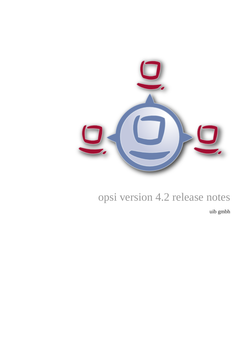

# opsi version 4.2 release notes

uib gmbh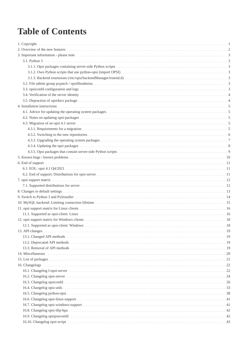# **Table of Contents**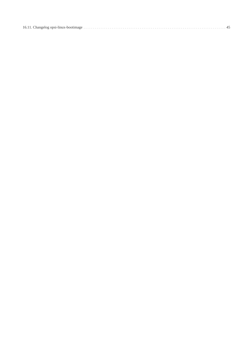|--|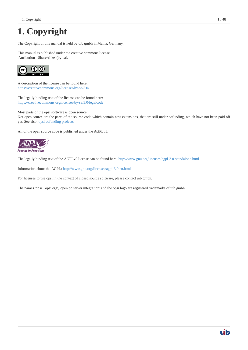# <span id="page-3-0"></span>**1. Copyright**

The Copyright of this manual is held by uib gmbh in Mainz, Germany.

This manual is published under the creative commons license 'Attribution - ShareAlike' (by-sa).



A description of the license can be found here: <https://creativecommons.org/licenses/by-sa/3.0/>

The legally binding text of the license can be found here: <https://creativecommons.org/licenses/by-sa/3.0/legalcode>

Most parts of the opsi software is open source. Not open source are the parts of the source code which contain new extensions, that are still under cofunding, which have not been paid off yet. See also: [opsi cofunding projects](https://www.uib.de/en/opsi-cofunding/cofunding/)

All of the open source code is published under the AGPLv3.



The legally binding text of the AGPLv3 license can be found here:<http://www.gnu.org/licenses/agpl-3.0-standalone.html>

Information about the AGPL:<http://www.gnu.org/licenses/agpl-3.0.en.html>

For licenses to use opsi in the context of closed source software, please contact uib gmbh.

The names 'opsi', 'opsi.org', 'open pc server integration' and the opsi logo are registered trademarks of uib gmbh.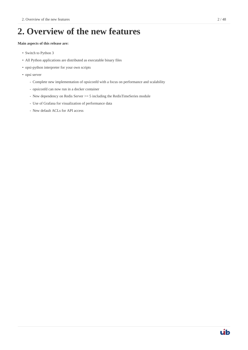# <span id="page-4-0"></span>**2. Overview of the new features**

### **Main aspects of this release are:**

- Switch to Python 3
- All Python applications are distributed as executable binary files
- opsi-python interpreter for your own scripts
- opsi server
	- Complete new implementation of opsiconfd with a focus on performance and scalability
	- opsiconfd can now run in a docker container
	- New dependency on Redis Server > = 5 including the RedisTimeSeries module
	- Use of Grafana for visualization of performance data
	- New default ACLs for API access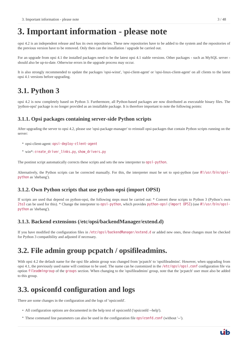# <span id="page-5-0"></span>**3. Important information - please note**

opsi 4.2 is an independent release and has its own repositories. These new repositories have to be added to the system and the repositories of the previous version have to be removed. Only then can the installation / upgrade be carried out.

For an upgrade from opsi 4.1 the installed packages need to be the latest opsi 4.1 stable versions. Other packages - such as MySQL server should also be up-to-date. Otherwise errors in the upgrade process may occur.

It is also strongly recommended to update the packages 'opsi-winst', 'opsi-client-agent' or 'opsi-linux-client-agent' on all clients to the latest opsi 4.1 versions before upgrading.

## <span id="page-5-1"></span>**3.1. Python 3**

opsi 4.2 is now completely based on Python 3. Furthermore, all Python-based packages are now distributed as executable binary files. The 'python-opsi' package is no longer provided as an installable package. It is therefore important to note the following points:

### <span id="page-5-2"></span>**3.1.1. Opsi packages containing server-side Python scripts**

After upgrading the server to opsi 4.2, please use 'opsi-package-manager' to reinstall opsi-packages that contain Python scripts running on the server:

- opsi-client-agent: opsi-deploy-client-agent
- win\*: create\_driver\_links.py, show\_drivers.py

The postinst script automatically corrects these scripts and sets the new interpreter to opsi-python.

Alternatively, the Python scripts can be corrected manually. For this, the interpreter must be set to opsi-python (use #!/usr/bin/opsipython as 'shebang').

### <span id="page-5-3"></span>**3.1.2. Own Python scripts that use python-opsi (import OPSI)**

If scripts are used that depend on python-opsi, the following steps must be carried out: \* Convert these scripts to Python 3 (Python's own 2to3 can be used for this). \* Change the interpreter to opsi-python, which provides python-opsi (import OPSI) (use #!/usr/bin/opsipython as 'shebang').

## <span id="page-5-4"></span>**3.1.3. Backend extensions (/etc/opsi/backendManager/extend.d)**

If you have modified the configuration files in /etc/opsi/backendManager/extend.d or added new ones, these changes must be checked for Python 3 compatibility and adjusted if necessary.

## <span id="page-5-5"></span>**3.2. File admin group pcpatch / opsifileadmins.**

With opsi 4.2 the default name for the opsi file admin group was changed from 'pcpatch' to 'opsifileadmins'. However, when upgrading from opsi 4.1, the previously used name will continue to be used. The name can be customized in the /etc/opsi/opsi.conf configuration file via option fileadmingroup of the groups section. When changing to the 'opsifileadmins' group, note that the 'pcpatch' user must also be added to this group.

## <span id="page-5-6"></span>**3.3. opsiconfd configuration and logs**

There are some changes in the configuration and the logs of 'opsiconfd'.

- All configuration options are documented in the help text of opsiconfd ('opsiconfd --help').
- These command line parameters can also be used in the configuration file opsiconfd.conf (without '--').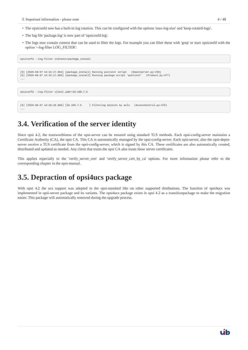- The opsiconfd now has a built-in log rotation. This can be configured with the options 'max-log-size' and 'keep-rotated-logs'.
- The log file 'package.log' is now part of 'opsiconfd.log'.
- The logs now contain context that can be used to filter the logs. For example you can filter these with 'grep' or start opsiconfd with the option '--log-filter LOG\_FILTER':

```
opsiconfd --log-filter instance=package_install
```

```
[6] [2020-09-07 14:41:17.864] [package_install] Running postinst script (Depotserver.py:235)
[5] [2020-09-07 14:41:17.865] [package_install] Running package script 'postinst' (Product.py:477)
...
```
opsiconfd --log-filter client\_addr=10.100.7.5

...

[6] [2020-09-07 14:25:16.966] [10.100.7.5 ] Filtering objects by acls (AccessControl.py:475)

## <span id="page-6-0"></span>**3.4. Verification of the server identity**

Since opsi 4.2, the trustworthiness of the opsi-server can be ensured using standard TLS methods. Each opsi-config-server maintains a Certificate Authority (CA), the opsi CA. This CA is automatically managed by the opsi-config-server. Each opsi-server, also the opsi-depotserver receive a TLS certificate from the opsi-config-server, which is signed by this CA. These certificates are also automatically created, distributed and updated as needed. Any client that trusts the opsi CA also trusts these server certificates.

This applies especially to the 'verify\_server\_cert' and 'verify\_server\_cert\_by\_ca' options. For more information please refer to the corresponding chapter in the opsi-manual.

## <span id="page-6-1"></span>**3.5. Depraction of opsi4ucs package**

With opsi 4.2 the ucs support was adepted to the opsi-standard like on other supported distibutions. The function of opsi4ucs was implemented in opsi-server package and its variants. The opsi4ucs package exists in opsi 4.2 as a transitionpackage to make the migration easier. This package will automatically removed during the upgrade process.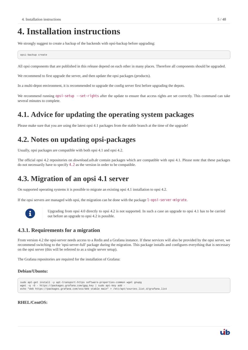# <span id="page-7-0"></span>**4. Installation instructions**

We strongly suggest to create a backup of the backends with opsi-backup before upgrading:

opsi-backup create

All opsi components that are published in this release depend on each other in many places. Therefore all components should be upgraded.

We recommend to first upgrade the server, and then update the opsi packages (products).

In a multi-depot environment, it is recommended to upgrade the config server first before upgrading the depots.

We recommend running opsi-setup --set-rights after the update to ensure that access rights are set correctly. This command can take several minutes to complete.

## <span id="page-7-1"></span>**4.1. Advice for updating the operating system packages**

Please make sure that you are using the latest opsi 4.1 packages from the stable branch at the time of the upgrade!

# <span id="page-7-2"></span>**4.2. Notes on updating opsi-packages**

Usually, opsi packages are compatible with both opsi 4.1 and opsi 4.2.

The official opsi 4.2 repositories on *download.uib.de* contain packages which are compatible with opsi 4.1. Please note that these packages do not necessarily have to specify 4.2 as the version in order to be compatible.

## <span id="page-7-3"></span>**4.3. Migration of an opsi 4.1 server**

On supported operating systems it is possible to migrate an existing opsi 4.1 installation to opsi 4.2.

If the opsi servers are managed with opsi, the migration can be done with the package l-opsi-server-migrate.



 Upgrading from opsi 4.0 directly to opsi 4.2 is not supported. In such a case an upgrade to opsi 4.1 has to be carried out before an upgrade to opsi 4.2 is possible.

## <span id="page-7-4"></span>**4.3.1. Requirements for a migration**

From version 4.2 the opsi-server needs access to a Redis and a Grafana instance. If these services will also be provided by the opsi server, we recommend switching to the 'opsi-server-full' package during the migration. This package installs and configures everything that is necessary on the opsi server (this will be referred to as a single server setup).

The Grafana repositories are required for the installation of Grafana:

### **Debian/Ubuntu:**

```
sudo apt-get install -y apt-transport-https software-properties-common wget gnupg
wget -q -0 - https://packages.grafana.com/gpg.key | sudo apt-key add
echo "deb https://packages.grafana.com/oss/deb stable main" > /etc/apt/sources.list.d/grafana.list
```
### **RHEL/CentOS:**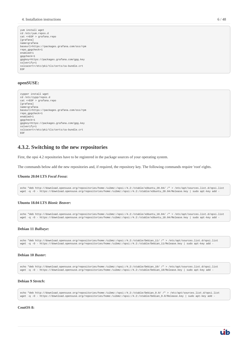```
yum install wget
cd /etc/yum.repos.d
cat <<EOF > grafana.repo
[grafana]
name=grafana
baseurl=https://packages.grafana.com/oss/rpm
repo_gpgcheck=1
enabled=1
gpgcheck=1
gpgkey=https://packages.grafana.com/gpg.key
sslverify=1
sslcacert=/etc/pki/tls/certs/ca-bundle.crt
EOF
```
### **openSUSE:**

```
zypper install wget
cd /etc/zypp/repos.d
cat <<EOF > grafana.repo
[grafana]
name=grafana
baseurl=https://packages.grafana.com/oss/rpm
repo_gpgcheck=1
enabled=1
gpgcheck=1
gpgkey=https://packages.grafana.com/gpg.key
sslverify=1
sslcacert=/etc/pki/tls/certs/ca-bundle.crt
EOF
```
### <span id="page-8-0"></span>**4.3.2. Switching to the new repositories**

First, the opsi 4.2 repositories have to be registered in the package sources of your operating system.

The commands below add the new repositories and, if required, the repository key. The following commands require 'root'-rights.

### **Ubuntu 20.04 LTS** *Focal Fossa***:**

echo "deb http://download.opensuse.org/repositories/home:/uibmz:/opsi:/4.2:/stable/xUbuntu\_20.04/ /" > /etc/apt/sources.list.d/opsi.list wget -q -O - https://download.opensuse.org/repositories/home:/uibmz:/opsi:/4.2:/stable/xUbuntu\_20.04/Release.key | sudo apt-key add -

### **Ubuntu 18.04 LTS** *Bionic Beaver***:**

```
echo "deb http://download.opensuse.org/repositories/home:/uibmz:/opsi:/4.2:/stable/xUbuntu_18.04/ /" > /etc/apt/sources.list.d/opsi.list
wget -q -O - https://download.opensuse.org/repositories/home:/uibmz:/opsi:/4.2:/stable/xUbuntu_18.04/Release.key | sudo apt-key add -
```
#### **Debian 11** *Bullseye***:**

echo "deb http://download.opensuse.org/repositories/home:/uibmz:/opsi:/4.2:/stable/Debian\_11/ /" > /etc/apt/sources.list.d/opsi.list wget -q -O - https://download.opensuse.org/repositories/home:/uibmz:/opsi:/4.2:/stable/Debian\_11/Release.key | sudo apt-key add -

#### **Debian 10** *Buster***:**

```
echo "deb http://download.opensuse.org/repositories/home:/uibmz:/opsi:/4.2:/stable/Debian_10/ /" > /etc/apt/sources.list.d/opsi.list
wget -q -O - https://download.opensuse.org/repositories/home:/uibmz:/opsi:/4.2:/stable/Debian_10/Release.key | sudo apt-key add -
```
### **Debian 9** *Stretch***:**

echo "deb http://download.opensuse.org/repositories/home:/uibmz:/opsi:/4.2:/stable/Debian\_9.0/ /" > /etc/apt/sources.list.d/opsi.list wget -q -O - https://download.opensuse.org/repositories/home:/uibmz:/opsi:/4.2:/stable/Debian\_9.0/Release.key | sudo apt-key add -

#### **CentOS 8:**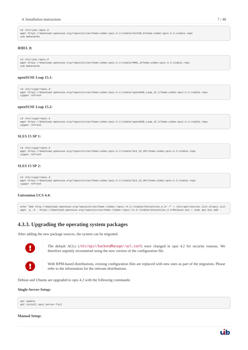#### 4. Installation instructions 7 / 48

```
cd /etc/yum.repos.d
wget https://download.opensuse.org/repositories/home:uibmz:opsi:4.2:stable/CentOS_8/home:uibmz:opsi:4.2:stable.repo
yum makecache
```
### **RHEL 8:**

```
cd /etc/yum.repos.d
wget https://download.opensuse.org/repositories/home:uibmz:opsi:4.2:stable/RHEL_8/home:uibmz:opsi:4.2:stable.repo
yum makecache
```
#### **openSUSE Leap 15.1:**

```
cd /etc/zypp/repos.d
wget https://download.opensuse.org/repositories/home:uibmz:opsi:4.2:stable/openSUSE_Leap_15.1/home:uibmz:opsi:4.2:stable.repo
zypper refresh
```
### **openSUSE Leap 15.2:**

```
cd /etc/zypp/repos.d
wget https://download.opensuse.org/repositories/home:uibmz:opsi:4.2:stable/openSUSE_Leap_15.2/home:uibmz:opsi:4.2:stable.repo
zypper refresh
```
#### **SLES 15 SP 1:**

```
cd /etc/zypp/repos.d
wget https://download.opensuse.org/repositories/home:uibmz:opsi:4.2:stable/SLE_15_SP1/home:uibmz:opsi:4.2:stable.repo
zypper refresh
```
### **SLES 15 SP 2:**

```
cd /etc/zypp/repos.d
wget https://download.opensuse.org/repositories/home:uibmz:opsi:4.2:stable/SLE_15_SP1/home:uibmz:opsi:4.2:stable.repo
zypper refresh
```
#### **Univention UCS 4.4:**

echo "deb http://download.opensuse.org/repositories/home:/uibmz:/opsi:/4.2:/stable/Univention\_4.4/ /" > /etc/apt/sources.list.d/opsi.list wget -q -O - https://download.opensuse.org/repositories/home:/uibmz:/opsi:/4.2:/stable/Univention\_4.4/Release.key | sudo apt-key add

### <span id="page-9-0"></span>**4.3.3. Upgrading the operating system packages**

After adding the new package sources, the system can be migrated.



 The default ACLs (/etc/opsi/backendManager/acl.conf) were changed in opsi 4.2 for security reasons. We therefore urgently recommend using the new version of the configuration file.

 With RPM-based distributions, existing configuration files are replaced with new ones as part of the migration. Please refer to the information for the relevant distributions.

Debian and Ubuntu are upgraded to opsi 4.2 with the following commands:

#### **Single-Server-Setup:**

```
apt update
apt install opsi-server-full
```
### **Manual Setup:**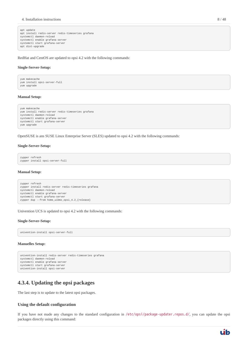```
apt update
apt install redis-server redis-timeseries grafana
systemctl daemon-reload
systemctl enable grafana-server
systemctl start grafana-server
apt dist-upgrade
```
RedHat and CentOS are updated to opsi 4.2 with the following commands:

#### **Single-Server-Setup:**

```
yum makecache
yum install opsi-server-full
yum upgrade
```
#### **Manual Setup:**

```
yum makecache
yum install redis-server redis-timeseries grafana
systemctl daemon-reload
systemctl enable grafana-server
systemctl start grafana-server
yum upgrade
```
OpenSUSE is ans SUSE Linux Enterprise Server (SLES) updated to opsi 4.2 with the following commands:

#### **Single-Server-Setup:**

```
zypper refresh
zypper install opsi-server-full
```
#### **Manual Setup:**

```
zypper refresh
zypper install redis-server redis-timeseries grafana
systemctl daemon-reload
systemctl enable grafana-server
systemctl start grafana-server
zypper dup --from home_uibmz_opsi_4.2_{release}
```
Univention UCS is updated to opsi 4.2 with the following commands:

### **Single-Server-Setup:**

univention-install opsi-server-full

### **Manuelles Setup:**

```
univention-install redis-server redis-timeseries grafana
systemctl daemon-reload
systemctl enable grafana-server
systemctl start grafana-server
univention-install opsi-server
```
### <span id="page-10-0"></span>**4.3.4. Updating the opsi packages**

The last step is to update to the latest opsi packages.

### **Using the default configuration**

If you have not made any changes to the standard configuration in /etc/opsi/package-updater.repos.d/, you can update the opsi packages directly using this command: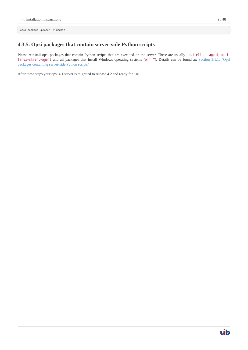opsi-package-updater -v update

## <span id="page-11-0"></span>**4.3.5. Opsi packages that contain server-side Python scripts**

Please reinstall opsi packages that contain Python scripts that are executed on the server. These are usually opsi-client-agent, opsilinux-client-agent and all packages that install Windows operating systems (win \*). Details can be found at: [Section 3.1.1, "Opsi](#page-5-2) [packages containing server-side Python scripts".](#page-5-2)

After these steps your opsi 4.1 server is migrated to release 4.2 and ready for use.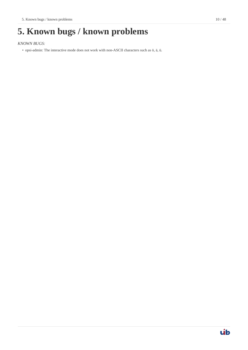# <span id="page-12-0"></span>**5. Known bugs / known problems**

*KNOWN BUGS:*

• opsi-admin: The interactive mode does not work with non-ASCII characters such as ö, ä, ü.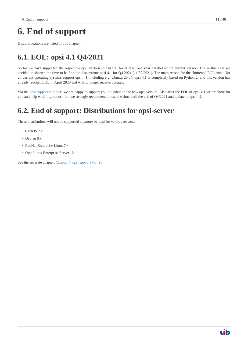# <span id="page-13-0"></span>**6. End of support**

Discontinuations are listed in this chapter.

# <span id="page-13-1"></span>**6.1. EOL: opsi 4.1 Q4/2021**

So far we have supported the respective opsi version (oldstable) for at least one year parallel to the current version. But in this case we decided to shorten the time to half and to discontinue opsi 4.1 for Q4 2021 (11/30/2021). The main reason for the shortened EOL time: Not all current operating systems support opsi 4.1, including e.g. Ubuntu 20.04. opsi 4.1 is completely based on Python 2, and this version has already reached EOL in April 2020 and will no longer receive updates.

Via the [opsi support contracts](https://www.uib.de/de/support-schulung/support) we are happy to support you to update to the new opsi version. Also after the EOL of opsi 4.1 we are there for you and help with migrations - but we strongly recommend to use the time until the end of Q4/2021 and update to opsi 4.2.

# <span id="page-13-2"></span>**6.2. End of support: Distributions for opsi-server**

These distributions will not be supported anymore by opsi for various reasons.

- CentOS 7.x
- Debian 8.x
- RedHat Enterprise Linux 7.x
- Suse Linux Enterprise Server 12

See the separate chapter: [Chapter 7,](#page-14-0) *[opsi support matrix](#page-14-0)*.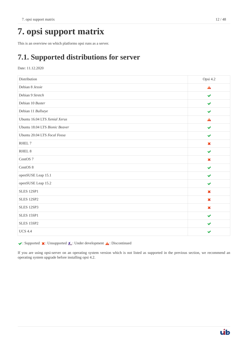<span id="page-14-0"></span>This is an overview on which platforms opsi runs as a server.

## <span id="page-14-1"></span>**7.1. Supported distributions for server**

### Date: 11.12.2020

| Distribution                   | Opsi 4.2                  |
|--------------------------------|---------------------------|
| Debian 8 Jessie                | $\blacktriangle$          |
| Debian 9 Stretch               | ✔                         |
| Debian 10 Buster               | $\blacktriangledown$      |
| Debian 11 Bullseye             | ✔                         |
| Ubuntu 16.04 LTS Xenial Xerus  | A                         |
| Ubuntu 18.04 LTS Bionic Beaver | ✔                         |
| Ubuntu 20.04 LTS Focal Fossa   | ✔                         |
| RHEL 7                         | $\boldsymbol{\mathsf{x}}$ |
| RHEL <sub>8</sub>              | $\blacktriangledown$      |
| CentOS <sub>7</sub>            | $\boldsymbol{\mathsf{x}}$ |
| CentOS 8                       | $\blacktriangleright$     |
| openSUSE Leap 15.1             | ✔                         |
| openSUSE Leap 15.2             | ✔                         |
| SLES 12SP1                     | $\boldsymbol{\mathsf{x}}$ |
| SLES 12SP2                     | $\boldsymbol{\mathsf{x}}$ |
| SLES 12SP3                     | $\boldsymbol{\mathsf{x}}$ |
| SLES 15SP1                     | ✔                         |
| SLES 15SP2                     | ✔                         |
| <b>UCS 4.4</b>                 | ✔                         |

 $\blacktriangleright$ : Supported  $\blacktriangleright$ : Unsupported  $\mathbf{\Lambda}$ : Under development  $\mathbf{\Lambda}$ : Discontinued

If you are using opsi-server on an operating system version which is not listed as supported in the previous section, we recommend an operating system upgrade before installing opsi 4.2.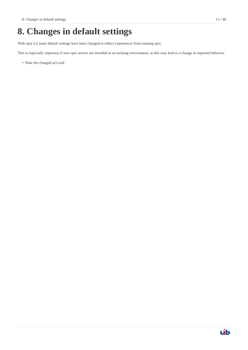# <span id="page-15-0"></span>**8. Changes in default settings**

With opsi 4.2 some default settings have been changed to reflect experiences from running opsi.

This is especially important if new opsi servers are installed in an existing environment, as this may lead to a change in expected behavior.

• Note the changed acl.conf.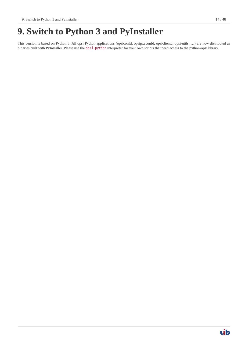# <span id="page-16-0"></span>**9. Switch to Python 3 and PyInstaller**

This version is based on Python 3. All opsi Python applications (opsiconfd, opsipxeconfd, opsiclientd, opsi-utils, …) are now distributed as binaries built with PyInstaller. Please use the opsi-python interpreter for your own scripts that need access to the python-opsi library.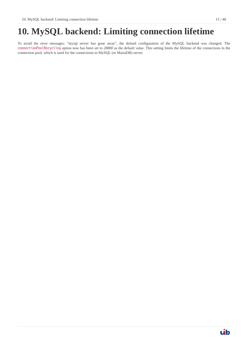# <span id="page-17-0"></span>**10. MySQL backend: Limiting connection lifetime**

To avoid the error messages: "mysql server has gone away", the default configuration of the MySQL backend was changed. The connectionPoolRecycling option now has been set to *28800* as the default value. This setting limits the lifetime of the connections in the connection pool, which is used for the connections to MySQL (or MariaDB) server.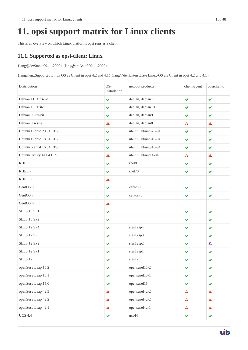# <span id="page-18-0"></span>**11. opsi support matrix for Linux clients**

This is an overview on which Linux platforms opsi runs as a client.

## <span id="page-18-1"></span>**11.1. Supported as opsi-client: Linux**

{lang@de:Stand 09.11.2020} {lang@en:As of 09.11.2020}

{lang@en:.Supported Linux OS as Client in opsi 4.2 and 4.1} {lang@de:.Unterstützte Linux-OS als Client in opsi 4.2 und 4.1}

| Distribution            | OS-<br>Installation | netboot products    | client-agent         | opsiclientd          |
|-------------------------|---------------------|---------------------|----------------------|----------------------|
| Debian 11 Bullseye      | $\checkmark$        | debian, debian11    | $\blacktriangledown$ | ✔                    |
| Debian 10 Buster        | ✔                   | debian, debian10    | ✔                    | ✔                    |
| Debian 9 Stretch        | ✔                   | debian, debian9     | ✔                    | ✔                    |
| Debian 8 Jessie         | A                   | debian, debian8     | A                    | A                    |
| Ubuntu Bionic 20.04 LTS | $\checkmark$        | ubuntu, ubuntu20-04 | $\checkmark$         | $\checkmark$         |
| Ubuntu Bionic 18.04 LTS | ✔                   | ubuntu, ubuntu18-04 | ✔                    | ✔                    |
| Ubuntu Xenial 16.04 LTS | ✔                   | ubuntu, ubuntu16-04 | ✔                    | $\checkmark$         |
| Ubuntu Trusty 14.04 LTS | A                   | ubuntu, ubunt14-04  | A                    | A                    |
| RHEL <sub>8</sub>       | ✔                   | rhel8               | ✔                    | ✔                    |
| RHEL 7                  | ✔                   | rhel70              | $\blacktriangledown$ | $\blacktriangledown$ |
| RHEL 6                  | A                   |                     |                      |                      |
| CentOS 8                | ✔                   | centos8             | ✔                    | $\checkmark$         |
| CentOS <sub>7</sub>     | ✔                   | centos70            | ✔                    | ✔                    |
| CentOS <sub>6</sub>     | Â                   |                     |                      |                      |
| <b>SLES 15 SP1</b>      | $\checkmark$        |                     | $\blacktriangledown$ | ✔                    |
| <b>SLES 15 SP2</b>      | ✔                   |                     | ✔                    | ✔                    |
| <b>SLES 12 SP4</b>      | ✔                   | sles12sp4           | ✔                    | ✔                    |
| <b>SLES 12 SP3</b>      | $\checkmark$        | sles12sp3           | ✔                    | $\checkmark$         |
| <b>SLES 12 SP2</b>      | ✔                   | sles12sp2           | ✔                    | 瓜                    |
| <b>SLES 12 SP1</b>      | ✔                   | sles12sp1           | ✔                    | ✔                    |
| SLES <sub>12</sub>      | ✔                   | sles12              | ✔                    | ✔                    |
| openSuse Leap 15.2      | $\checkmark$        | opensuse115-2       | ✔                    |                      |
| openSuse Leap 15.1      | $\checkmark$        | opensusel15-1       | $\checkmark$         | $\checkmark$         |
| openSuse Leap 15.0      | $\checkmark$        | opensusel15         | $\checkmark$         | $\blacktriangledown$ |
| openSuse Leap 42.3      | Â                   | opensusel42-2       | A                    | $\mathbf{A}$         |
| openSuse Leap 42.2      | $\mathbf{A}$        | opensusel42-2       | A                    | $\blacktriangle$     |
| openSuse Leap 42.1      | $\mathbf{A}$        | opensusel42-1       | $\blacktriangle$     | $\mathbf{A}$         |
| <b>UCS 4.4</b>          | $\checkmark$        | ucs44               | $\blacktriangledown$ | $\blacktriangledown$ |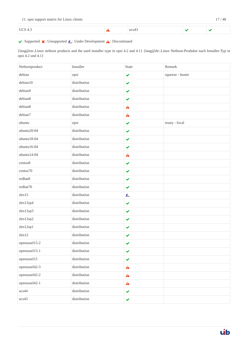| 11. opsi support matrix for Linux clients<br>the company of the property of the company of the company of the company of the company of the company of the company of the company of the company of the company of the company of the company of the company of the company | 17 / 48 |  |
|-----------------------------------------------------------------------------------------------------------------------------------------------------------------------------------------------------------------------------------------------------------------------------|---------|--|
|-----------------------------------------------------------------------------------------------------------------------------------------------------------------------------------------------------------------------------------------------------------------------------|---------|--|

#### UCS 4.3  $\qquad \qquad \bullet$  ucs 43  $\checkmark$  $\overline{\mathbf{v}}$

### $\blacktriangleright$ : Supported  $\blacktriangleright$ : Unsupported  $\mathcal{R}_\blacktriangle$ : Under Development  $\blacktriangle$ : Discontinued

{lang@en:.Linux netboot products and the used installer type in opsi 4.2 and 4.1} {lang@de:.Linux Netboot-Produkte nach Installer-Typ in opsi 4.2 und 4.1}

| Netbootproduct | Installer    | <b>State</b>         | Remark           |
|----------------|--------------|----------------------|------------------|
| debian         | opsi         | $\checkmark$         | squeeze - buster |
| debian10       | distribution | $\checkmark$         |                  |
| debian9        | distribution | $\checkmark$         |                  |
| debian8        | distribution | $\checkmark$         |                  |
| debian8        | distribution | $\blacktriangle$     |                  |
| debian7        | distribution | $\blacktriangle$     |                  |
| ubuntu         | opsi         | $\checkmark$         | trusty - focal   |
| ubuntu20-04    | distribution | $\checkmark$         |                  |
| ubuntu18-04    | distribution | $\checkmark$         |                  |
| $ubuntu16-04$  | distribution | $\checkmark$         |                  |
| ubuntu14-04    | distribution | A                    |                  |
| centos8        | distribution | $\checkmark$         |                  |
| centos70       | distribution | $\checkmark$         |                  |
| redhat8        | distribution | $\checkmark$         |                  |
| redhat70       | distribution | $\checkmark$         |                  |
| sles15         | distribution | 瓜                    |                  |
| sles12sp4      | distribution | $\blacktriangledown$ |                  |
| sles12sp3      | distribution | $\checkmark$         |                  |
| sles12sp2      | distribution | $\checkmark$         |                  |
| sles12sp1      | distribution | $\blacktriangledown$ |                  |
| sles12         | distribution | $\checkmark$         |                  |
| opensuse115-2  | distribution | ✔                    |                  |
| opensusel15-1  | distribution | $\checkmark$         |                  |
| opensusel15    | distribution | $\checkmark$         |                  |
| opensusel42-3  | distribution | $\triangle$          |                  |
| opensusel42-2  | distribution | $\mathbf{A}$         |                  |
| opensusel42-1  | distribution | $\mathbf{A}$         |                  |
| ucs44          | distribution | $\checkmark$         |                  |
| ucs43          | distribution | $\checkmark$         |                  |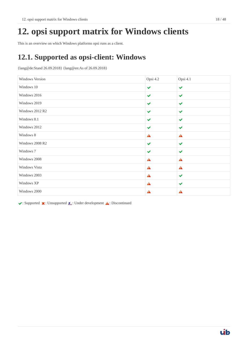<span id="page-20-0"></span>This is an overview on which Windows platforms opsi runs as a client.

# <span id="page-20-1"></span>**12.1. Supported as opsi-client: Windows**

{lang@de:Stand 26.09.2018} {lang@en:As of 26.09.2018}

| Windows Version | Opsi 4.2             | Opsi 4.1             |
|-----------------|----------------------|----------------------|
| Windows 10      | $\blacktriangledown$ | $\checkmark$         |
| Windows 2016    | $\checkmark$         | $\blacktriangledown$ |
| Windows 2019    | $\checkmark$         | $\checkmark$         |
| Windows 2012 R2 | $\checkmark$         | $\checkmark$         |
| Windows 8.1     | $\checkmark$         | $\checkmark$         |
| Windows 2012    | $\checkmark$         | $\checkmark$         |
| Windows 8       | A                    | A                    |
| Windows 2008 R2 | $\checkmark$         | $\checkmark$         |
| Windows 7       | $\checkmark$         | $\checkmark$         |
| Windows 2008    | A                    | $\mathbf{A}$         |
| Windows Vista   | A                    | $\blacktriangle$     |
| Windows 2003    | A                    | $\blacktriangledown$ |
| Windows XP      | A                    | ✔                    |
| Windows 2000    | A                    | A                    |

 $\blacktriangleright$ : Supported  $\blacktriangleright$ : Unsupported  $\mathcal{R}_\blacktriangle$ : Under development  $\blacktriangle$ : Discontinued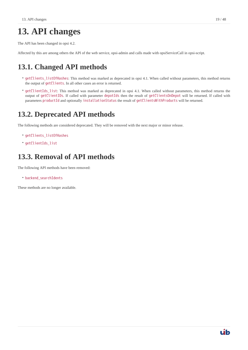# <span id="page-21-0"></span>**13. API changes**

The API has been changed in opsi 4.2.

Affected by this are among others the API of the web service, opsi-admin and calls made with opsiServiceCall in opsi-script.

## <span id="page-21-1"></span>**13.1. Changed API methods**

- getClients\_listOfHashes: This method was marked as deprecated in opsi 4.1. When called without parameters, this method returns the output of getClients. In all other cases an error is returned.
- getClientIds\_list: This method was marked as deprecated in opsi 4.1. When called without parameters, this method returns the output of getClientIDs. If called with parameter depotIds then the result of getClientsOnDepot will be returned. If called with parameters productId and optionally installationStatus the result of getClientsWithProducts will be returned.

## <span id="page-21-2"></span>**13.2. Deprecated API methods**

The following methods are considered deprecated. They will be removed with the next major or minor release.

- getClients\_listOfHashes
- getClientIds\_list

## <span id="page-21-3"></span>**13.3. Removal of API methods**

The following API methods have been removed:

• backend\_searchIdents

These methods are no longer available.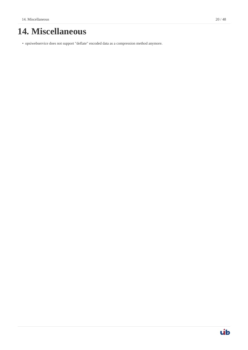# <span id="page-22-0"></span>**14. Miscellaneous**

• opsiwebservice does not support "deflate" encoded data as a compression method anymore.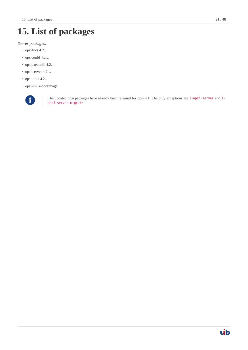# <span id="page-23-0"></span>**15. List of packages**

*Server packages:*

- opsi4ucs 4.2…
- opsiconfd 4.2…
- opsipxeconfd 4.2…
- opsi-server 4.2...
- opsi-utils 4.2…
- opsi-linux-bootimage



The updated opsi packages have already been released for opsi 4.1. The only exceptions are l-opsi-server and l-<br>
opsi-server and lopsi-server-migrate.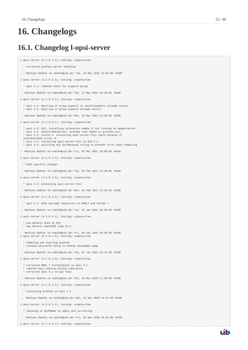# <span id="page-24-0"></span>**16. Changelogs**

## <span id="page-24-1"></span>**16.1. Changelog l-opsi-server**

l-opsi-server (4.2.0.3-4); testing; urgency=low

\* corrected grafana server handling

-- Mathias Radtke <m.radtke@uib.de> Tue, 18 May 2021 12:32:00 +0200

l-opsi-server (4.2.0.3-3); tetsing; urgency=low

\* opsi 4.1: removed check for pcpatch group

-- Mathias Radtke <m.radtke@uib.de> Tue, 11 May 2021 09:20:00 +0200

l-opsi-server (4.2.0.3-2); testing; urgency=low

 \* opsi 4.2: Aborting if group pcpatch or opsifileadmins already exists \* opsi 4.1: aborting if group pcpatch already exists

-- Mathias Radtke <m.radtke@uib.de> Mon, 10 May 2021 14:20:00 +0200

l-opsi-server (4.2.0.3-1); testing; urgency=low

- \* opsi 4.2: UCS: installing univention-samba if not running on memberserver
- \* opsi 4.2: ubuntu/debian/ucs: grafana repo added in grafana.list
- \* opsi 4.2: sles15-1: installing opsi-server-full twice because of
- unpredictable errno -8 \* opsi 4.2: installing opsi-server-full on UCS 4.4
- \* opsi 4.1: splitting UCS distRelease string to prevent error when comparing
- -- Mathias Radtke <m.radtke@uib.de> Fri, 05 Mar 2021 16:08:00 +0100

l-opsi-server (4.2.0.2-4); testing; urgency=low

- \* SLES specific changes
- -- Mathias Radtke <m.radtke@uib.de> Tue, 02 Feb 2021 11:20:00 +0100

l-opsi-server (4.2.0.2-3); testing; urgency=low

\* opsi 4.2: installing opsi-server-full

-- Mathias Radtke <m.radtke@uib.de> Mon, 01 Feb 2021 14:16:00 +0100

l-opsi-server (4.2.0.2-2); testing; urgency=low

\* opsi 4.1: adds mariadb repository on RHEL7 and CentOS 7

-- Mathias Radtke <m.radtke@uib.de> Tue, 26 Jan 2021 08:45:00 +0100

l-opsi-server (4.2.0.2-1); testing; urgency=low

- \* now detects SLES 15 SP3
- \* now detects openSUSE Leap 15-3

-- Mathias Radtke <m.radtke@uib.de> Fri, 08 Jan 2021 08:45:00 +0100 l-opsi-server (4.2.0.1-4); testing; urgency=low

enabling and starting grafana \* running opsiconfd setup to enable opsiadmin page

-- Mathias Radtke <m.radtke@uib.de> Thu, 07 Jan 2021 15:23:00 +0100

l-opsi-server (4.2.0.1-3); testing; urgency=low

- \* corrected RHEL 7 installation in opsi 4.1
- \* removed opsi\_noproxy\_online\_repository \* corrected opsi 4.1 script flow
- 

-- Mathias Radtke <m.radtke@uib.de> Thu, 26 Nov 2020 11:20:00 +0100

l-opsi-server (4.2.0.1-2); testing; urgency=low

- \* installing Grafana on opsi 4.2
- -- Mathias Radtke <m.radtke@uib.de> Mon, 16 Nov 2020 14:57:00 +0100

l-opsi-server (4.2.0.1-1); testung; urgency=low

\* checking if myIPName is empty and correcting

-- Mathias Radtke <m.radtke@uib.de> Fri, 06 Nov 2020 16:25:00 +0100

l-opsi-server (4.1.2.2-1); testing; urgency=low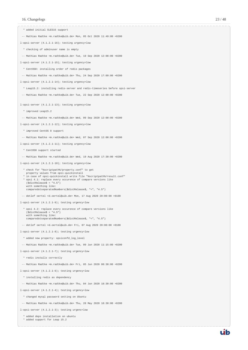\* added initial SLES15 support

- -- Mathias Radtke <m.radtke@uib.de> Mon, 05 Oct 2020 11:49:00 +0200
- l-opsi-server (4.1.2.1-16); testing urgency=low
- \* checking of adminuser name is empty
- -- Mathias Radtke <m.radtke@uib.de> Tue, 19 Sep 2020 12:08:00 +0200

l-opsi-server (4.1.2.1-15); testing urgency=low

- \* CentOS8: installing order of redis packages
- -- Mathias Radtke <m.radtke@uib.de> Thu, 24 Sep 2020 17:09:00 +0200

l-opsi-server (4.1.2.1-14); testing urgency=low

- \* Leap15.2: installing redis-server and redis-timeseries before opsi-server
- -- Mathias Radtke <m.radtke@uib.de> Tue, 22 Sep 2020 12:00:00 +0200

l-opsi-server (4.1.2.1-13); testing urgency=low

- \* improved Leap15.2
- -- Mathias Radtke <m.radtke@uib.de> Wed, 09 Sep 2020 12:00:00 +0200

l-opsi-server (4.1.2.1-12); testing urgency=low

- \* improved CentOS 8 support
- -- Mathias Radtke <m.radtke@uib.de> Wed, 07 Sep 2020 12:00:00 +0200
- l-opsi-server (4.1.2.1-11); testing urgency=low
	- \* CentOS8 support started
- -- Mathias Radtke <m.radtke@uib.de> Wed, 19 Aug 2020 17:30:00 +0200

l-opsi-server (4.1.2.1-10); testing urgency=low

- \* check for "%scriptpath%/property.conf" to get property values from opsi-quickinstall
- \* in case of opsi-quickinstall write file "%scriptpath%/result.conf" \* opsi 4.1: replace every occurence of compare versions like (\$distRelease\$ < "4.5")
- with something like: comparedotseparatedNumbers(\$distRelease\$, "<", "4.5")
- -- detlef oertel <d.oertel@uib.de> Mon, 17 Aug 2020 20:00:00 +0100

l-opsi-server (4.1.2.1-9); testing urgency=low

- \* opsi 4.2: replace every occurence of compare versions like (\$distRelease\$ < "4.5") with something like: comparedotseparatedNumbers(\$distRelease\$, "<", "4.5")
- -- detlef oertel <d.oertel@uib.de> Fri, 07 Aug 2020 20:00:00 +0100

l-opsi-server (4.1.2.1-8); testing urgency=low

- \* added new property: opsiconfd\_log\_level
- -- Mathias Radtke <m.radtke@uib.de> Tue, 09 Jun 2020 11:15:00 +0200

l-opsi-server (4.1.2.1-7); testing urgency=low

- \* redis installs correctly
- -- Mathias Radtke <m.radtke@uib.de> Fri, 05 Jun 2020 08:30:00 +0200

l-opsi-server (4.1.2.1-6); testing urgency=low

- \* installing redis as dependency
- -- Mathias Radtke <m.radtke@uib.de> Thu, 04 Jun 2020 18:30:00 +0200
- l-opsi-server (4.1.2.1-4); testing urgency=low
	- \* changed mysql password setting on Ubuntu
	- -- Mathias Radtke <m.radtke@uib.de> Thu, 28 May 2020 18:30:00 +0200

l-opsi-server (4.1.2.1-3); testing urgenc=low

- \* added deps installation on ubuntu
- \* added support for Leap 15.2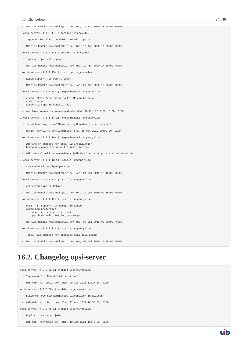| -- Mathias Radtke <m.radtke@uib.de> Mon, 25 May 2020 13:55:00 +0200</m.radtke@uib.de>                                                |
|--------------------------------------------------------------------------------------------------------------------------------------|
| l-opsi-server (4.1.2.1-2); testing urgency=low                                                                                       |
| * improved installation debian 10 with opsi 4.2                                                                                      |
| -- Mathias Radtke <m.radtke@uib.de> Tue, 19 Apr 2020 17:55:00 +0200</m.radtke@uib.de>                                                |
| l-opsi-server (4.1.2.1-1); testing urgency=low                                                                                       |
| * imporved opsi 4.2 support                                                                                                          |
| -- Mathias Radtke <m.radtke@uib.de> Tue, 12 Apr 2020 17:55:00 +0200</m.radtke@uib.de>                                                |
| l-opsi-server (4.1.1.15-1); testing; urgency=low                                                                                     |
| * added support for Ubuntu 20.04                                                                                                     |
| -- Mathias Radtke <m.radtke@uib.de> Mon, 27 Apr 2020 16:50:00 +0200</m.radtke@uib.de>                                                |
| l-opsi-server (4.1.1.14-3); experimental; urgency=low                                                                                |
| * added isFatalError if no valid IP can be found<br>* code cleanup<br>* added 4.2 repo in control file                               |
| -- matthias knauer <m.knauer@uib.de> Wed, 20 Nov 2019 09:18:00 +0100</m.knauer@uib.de>                                               |
| l-opsi-server (4.1.1.14-2); experimental; urgency=low                                                                                |
| * fixed handling of myIPName and myIPNumber for 4.1 and 4.2                                                                          |
| -- detlef oertel <d.oertel@uib.de> Fri, 18 Oct 2019 20:00:00 +0100</d.oertel@uib.de>                                                 |
| l-opsi-server (4.1.1.14-1); experimental; urgency=low                                                                                |
| * Working on support for opsi 4.2 installation.<br>* Dropped support for opsi 4.0 installation.                                      |
| -- Niko Wenselowski <n.wenselowski@uib.de> Tue, 13 Aug 2019 17:05:56 +0200</n.wenselowski@uib.de>                                    |
| l-opsi-server (4.1.1.13-1); stable; urgency=low                                                                                      |
| * removed opsi-configed package                                                                                                      |
| -- Mathias Radtke <m.radtke@uib.de> Wed, 24 Jul 2019 12:15:00 +0200</m.radtke@uib.de>                                                |
| l-opsi-server (4.1.1.12-2); stable; urgency=low                                                                                      |
| * corrected typo on Debian                                                                                                           |
| -- Mathias Radtke <m.radtke@uib.de> Mon, 22 Jul 2019 09:15:00 +0200</m.radtke@uib.de>                                                |
| l-opsi-server (4.1.1.12-1); stable; urgency=low                                                                                      |
| * opsi 4.1: support for debian 10 added<br>* added new properties:<br>download_patched_elilo_efi<br>patch_default_link_for_bootimage |
| -- Mathias Radtke <m.radtke@uib.de> Tue, 09 Jul 2019 08:20:00 +0200</m.radtke@uib.de>                                                |
| l-opsi-server (4.1.1.11-1); stable; urgency=low                                                                                      |
| * opsi 4.1: support for opensuse Leap 15.1 added                                                                                     |

# <span id="page-26-0"></span>**16.2. Changelog opsi-server**

-- Mathias Radtke <m.radtke@uib.de> Tue, 02 Jul 2019 14:20:00 +0200

```
opsi-server (4.2.0.51-1) stable; urgency=medium
  * Improvement: New default opsi.conf
 -- uib GmbH <info@uib.de> Wed, 28 Apr 2021 11:17:36 +0200
opsi-server (4.2.0.50-1) stable; urgency=medium
  * Feature: Use new admingroup placeholder in acl.conf
 -- uib GmbH <info@uib.de> Tue, 27 Apr 2021 16:58:59 +0200
opsi-server (4.2.0.48-1) stable; urgency=medium
  * Bugfix: ucs depot join
  -- uib GmbH <info@uib.de> Mon, 19 Apr 2021 16:45:53 +0200
```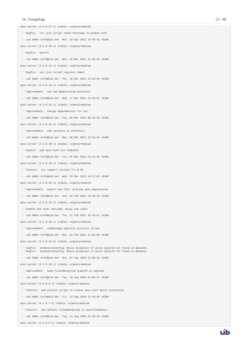opsi-server (4.2.0.47-1) stable; urgency=medium \* Bugfix: ucs join script check hostname in global.conf -- uib GmbH <info@uib.de> Mon, 19 Apr 2021 14:36:42 +0200 opsi-server (4.2.0.45-1) stable; urgency=medium \* Bugfix: postrm -- uib GmbH <info@uib.de> Mon, 22 Mar 2021 11:30:38 +0100 opsi-server (4.2.0.44-1) stable; urgency=medium \* Bugfix: ucs join script register depot -- uib GmbH <info@uib.de> Thu, 18 Mar 2021 13:53:45 +0100 opsi-server (4.2.0.43-1) stable; urgency=medium \* Improvement: Use new @deprecated decorator -- uib GmbH <info@uib.de> Wed, 17 Mar 2021 14:29:51 +0100 opsi-server (4.2.0.42-1) stable; urgency=medium \* Improvement: Change dependencies for ucs -- uib GmbH <info@uib.de> Tue, 09 Mar 2021 09:46:59 +0100 opsi-server (4.2.0.41-1) stable; urgency=medium \* Improvement: Add opsi4ucs zu conflicts -- uib GmbH <info@uib.de> Mon, 08 Mar 2021 12:31:24 +0100 opsi-server (4.2.0.40-1) stable; urgency=medium \* Bugfix: pam opsi-auth ucs template -- uib GmbH <info@uib.de> Fri, 05 Mar 2021 15:11:35 +0100 opsi-server (4.2.0.36-1) stable; urgency=medium \* Feature: ucs support version 4.2.0.36 -- uib GmbH <info@uib.de> Wed, 03 Mar 2021 10:17:01 +0100 opsi-server (4.2.0.35-1) stable; urgency=medium \* Improvement: expert and full: provide opsi-depotserver -- uib GmbH <info@uib.de> Sun, 21 Feb 2021 19:28:19 +0100 opsi-server (4.2.0.34-1) stable; urgency=medium \* Enable and start mariadb, mysql and redis -- uib GmbH <info@uib.de> Thu, 11 Feb 2021 15:24:57 +0100 opsi-server (4.2.0.28-1) stable; urgency=medium \* Improvement: subpackage-specific postinst script -- uib GmbH <info@uib.de> Mon, 01 Feb 2021 11:55:08 +0100 opsi-server (4.2.0.14-1) stable; urgency=medium \* Bugfix: setGeneralConfig: Raise Exception if given objecId not found in Backend. \* Bugfix: setGeneralConfig: Raise Exception if given objecId not found in Backend. -- uib GmbH <info@uib.de> Mon, 07 Sep 2020 12:08:40 +0200 opsi-server (4.2.0.10-1) stable; urgency=medium \* Improvement: keep fileadmingroup pcpatch on upgrade -- uib GmbH <info@uib.de> Tue, 18 Aug 2020 14:05:17 +0200 opsi-server (4.2.0.8-1) stable; urgency=medium \* Feature: add preinst script to create opsi.conf while installing -- uib GmbH <info@uib.de> Fri, 14 Aug 2020 11:46:25 +0200 opsi-server (4.2.0.7-1) stable; urgency=medium \* Feature: new default fileadmingroup is opsifileadmins -- uib GmbH <info@uib.de> Tue, 11 Aug 2020 11:40:10 +0200

opsi-server (4.2.0.5-1) stable; urgency=medium

uib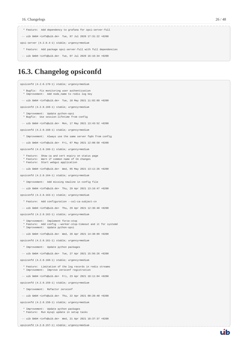- \* Feature: Add dependency to grafana for opsi-server-full
- -- uib GmbH <info@uib.de> Tue, 07 Jul 2020 17:31:22 +0200
- opsi-server (4.2.0.4-1) stable; urgency=medium
- \* Feature: Add package opsi-server-full with full dependencies
- -- uib GmbH <info@uib.de> Tue, 07 Jul 2020 16:16:34 +0200

## <span id="page-28-0"></span>**16.3. Changelog opsiconfd**

opsiconfd (4.2.0.170-1) stable; urgency=medium

- \* Bugfix: Fix monitoring user authentication
- \* Improvement: Add node\_name to redis log key -- uib GmbH <info@uib.de> Tue, 18 May 2021 11:02:09 +0200

opsiconfd (4.2.0.169-1) stable; urgency=medium

- \* Improvement: Update python-opsi
- \* Bugfix: Use session-lifetime from config

-- uib GmbH <info@uib.de> Mon, 17 May 2021 13:43:52 +0200

opsiconfd (4.2.0.168-1) stable; urgency=medium

- \* Improvement: Always use the same server fqdn from config
- -- uib GmbH <info@uib.de> Fri, 07 May 2021 12:08:58 +0200

opsiconfd (4.2.0.166-1) stable; urgency=medium

- \* Feature: Show ca and cert expiry on status page
- \* Feature: Warn if common name of CA changes \* Feature: Start webgui application
- -- uib GmbH <info@uib.de> Wed, 05 May 2021 13:11:26 +0200

opsiconfd (4.2.0.164-1) stable; urgency=medium

- \* Improvement: Add missing newline in config file
- -- uib GmbH <info@uib.de> Thu, 29 Apr 2021 13:16:47 +0200

opsiconfd (4.2.0.163-1) stable; urgency=medium

- \* Feature: Add configuration --ssl-ca-subject-cn
- -- uib GmbH <info@uib.de> Thu, 29 Apr 2021 12:36:40 +0200

opsiconfd (4.2.0.162-1) stable; urgency=medium

- \* Improvement: Implement force-stop \* Feature: Add config --worker-stop-timeout and it for systemd
- \* Improvement: Update python-opsi
- -- uib GmbH <info@uib.de> Wed, 28 Apr 2021 14:38:09 +0200
- opsiconfd (4.2.0.161-1) stable; urgency=medium
	- \* Improvement: Update python packages
- -- uib GmbH <info@uib.de> Tue, 27 Apr 2021 15:56:26 +0200
- opsiconfd (4.2.0.160-1) stable; urgency=medium
- \* Feature: Limitation of the log records in redis streams \* Improvement: Improve zeroconf registration
- -- uib GmbH <info@uib.de> Fri, 23 Apr 2021 18:11:04 +0200

opsiconfd (4.2.0.159-1) stable; urgency=medium

- \* Improvement: Refactor zeroconf
- -- uib GmbH <info@uib.de> Thu, 22 Apr 2021 00:28:48 +0200

opsiconfd (4.2.0.158-1) stable; urgency=medium

- \* Improvement: Update python packages \* Feature: Run mysql update in setup tasks
- -- uib GmbH <info@uib.de> Wed, 21 Apr 2021 18:37:37 +0200

opsiconfd (4.2.0.157-1) stable; urgency=medium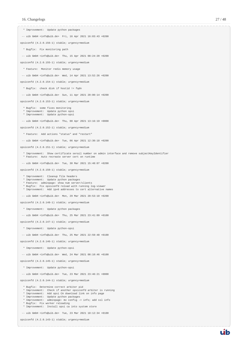uib

 \* Improvement: Update python packages -- uib GmbH <info@uib.de> Fri, 16 Apr 2021 16:03:43 +0200 opsiconfd (4.2.0.156-1) stable; urgency=medium \* Bugfix: Fix monitoring path -- uib GmbH <info@uib.de> Thu, 15 Apr 2021 08:24:20 +0200 opsiconfd (4.2.0.155-1) stable; urgency=medium \* Feature: Monitor redis memory usage -- uib GmbH <info@uib.de> Wed, 14 Apr 2021 13:52:26 +0200 opsiconfd (4.2.0.154-1) stable; urgency=medium \* Bugfix: check disk if hostid != fqdn -- uib GmbH <info@uib.de> Sun, 11 Apr 2021 20:00:14 +0200 opsiconfd (4.2.0.153-1) stable; urgency=medium \* Bugfix: some fixes monitoring \* Improvement: Update python opsi \* Improvement: Update python-opsi -- uib GmbH <info@uib.de> Thu, 08 Apr 2021 13:16:19 +0000 opsiconfd (4.2.0.152-1) stable; urgency=medium \* Feature: Add actions "status" and "restart" -- uib GmbH <info@uib.de> Tue, 06 Apr 2021 12:30:18 +0200 opsiconfd (4.2.0.151-1) stable; urgency=medium \* Improvement: Show certificate serail number on admin interface and remove subjectKeyIdentifier \* Feature: Auto recreate server cert on runtime -- uib GmbH <info@uib.de> Tue, 30 Mar 2021 15:48:07 +0200 opsiconfd (4.2.0.150-1) stable; urgency=medium \* Improvement: Cleanup file headers \* Improvement: Update python packages \* Feature: adminpage: show num server/clients \* Bugfix: Fix opsiconfd reload with running log-viewer \* Improvement: Add ipv6 addresses to cert alternative names -- uib GmbH <info@uib.de> Mon, 29 Mar 2021 20:53:10 +0200 opsiconfd (4.2.0.148-1) stable; urgency=medium \* Improvement: Update python packages -- uib GmbH <info@uib.de> Thu, 25 Mar 2021 23:41:09 +0100 opsiconfd (4.2.0.147-1) stable; urgency=medium \* Improvement: Update python-opsi -- uib GmbH <info@uib.de> Thu, 25 Mar 2021 22:59:48 +0100 opsiconfd (4.2.0.146-1) stable; urgency=medium \* Improvement: Update python-opsi -- uib GmbH <info@uib.de> Wed, 24 Mar 2021 08:10:46 +0100 opsiconfd (4.2.0.145-1) stable; urgency=medium \* Improvement: Update python-opsi -- uib GmbH <info@uib.de> Tue, 23 Mar 2021 23:46:21 +0000 opsiconfd (4.2.0.144-1) stable; urgency=medium \* Bugfix: Determine correct arbiter pid \* Improvement: Check if another opsiconfd arbiter is running \* Improvement: Add opsi CA download link on info page

- 
- \* Improvement: Update python packages
- \* Improvement: adminpage: mv config -> info; add ssl info \* Bugfix: Fix worker reloading
- \* Improvement: Install opsi ca into system store
- -- uib GmbH <info@uib.de> Tue, 23 Mar 2021 18:12:34 +0100

opsiconfd (4.2.0.143-1) stable; urgency=medium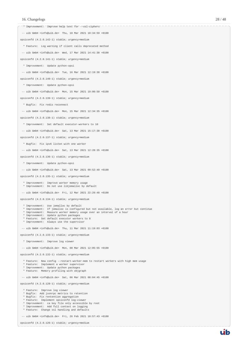| $--$ uib GmbH <info@uib.de> Thu, 18 Mar 2021 10:34:59 +0100<br/>opsiconfd (4.2.0.142-1) stable; urgency=medium<br/>* Feature: Log warning if client calls deprecated method<br/>-- uib GmbH <info@uib.de> Wed, 17 Mar 2021 14:41:30 +0100<br/>opsiconfd (4.2.0.141-1) stable; urgency=medium<br/>* Improvement: Update python-opsi<br/><math>--</math> uib GmbH <info@uib.de> Tue, 16 Mar 2021 12:19:38 +0100<br/>opsiconfd (4.2.0.140-1) stable; urgency=medium<br/>* Improvement: Update python-opsi<br/><math>--</math> uib GmbH <info@uib.de> Mon, 15 Mar 2021 19:00:50 +0100<br/>opsiconfd (4.2.0.139-1) stable; urgency=medium<br/>* Bugfix: Fix redis reconnect<br/>-- uib GmbH <info@uib.de> Mon, 15 Mar 2021 12:34:35 +0100<br/>opsiconfd (4.2.0.138-1) stable; urgency=medium<br/>* Improvement: Set default executor-workers to 10<br/>-- uib GmbH <info@uib.de> Sat, 13 Mar 2021 15:17:38 +0100<br/>opsiconfd (4.2.0.137-1) stable; urgency=medium<br/>* Bugfix: Fix ipv6 listen with one worker<br/><math>--</math> uib GmbH <info@uib.de> Sat, 13 Mar 2021 12:28:35 +0100<br/>opsiconfd (4.2.0.136-1) stable; urgency=medium<br/>* Improvement: Update python-opsi<br/>-- uib GmbH <info@uib.de> Sat, 13 Mar 2021 09:52:49 +0100<br/>opsiconfd (4.2.0.135-1) stable; urgency=medium<br/>* Improvement: Improve worker memory usage<br/>* Improvement: Do not use libjemalloc by default<br/><math>--</math> uib GmbH <info@uib.de> Fri, 12 Mar 2021 22:29:48 +0100<br/>opsiconfd (4.2.0.134-1) stable; urgency=medium<br/>* Improvement: Use jemalloc by default<br/>* Improvement: If jemalloc is configured but not available, log an error but continue<br/>* Improvement: Measure worker memory usage over an interval of a hour<br/>* Improvement: Update python packages<br/>* Feature: Set default executor workers to 8<br/>* Improvement: Always use the supervisor<br/><math>--</math> uib GmbH <info@uib.de> Thu, 11 Mar 2021 11:19:03 +0100<br/>opsiconfd (4.2.0.133-1) stable; urgency=medium<br/>* Improvement: Improve log viewer<br/><math>--</math> uib GmbH <info@uib.de> Mon, 08 Mar 2021 12:05:55 +0100<br/>opsiconfd (4.2.0.132-1) stable; urgency=medium<br/>* Feature: New config --restart-worker-mem to restart workers with high mem usage<br/>* Feature: Implement a worker supervisor<br/>* Improvement: Update python packages<br/>* Feature: Memory profiling with objgraph<br/><math>--</math> uib GmbH <info@uib.de> Sat, 06 Mar 2021 08:04:45 +0100<br/>opsiconfd (4.2.0.128-1) stable; urgency=medium<br/>* Feature: Improve log viewer<br/>* Bugfix: Add jsonrpc metrics to retention<br/>* Bugfix: Fix rentention aggregation<br/>* Feature: Implement opsiconfd log-viewer<br/>* Improvement: ca key file only accessible by root<br/>* Improvement: Add full context on logging<br/>* Feature: Change ssl handling and defaults</info@uib.de></info@uib.de></info@uib.de></info@uib.de></info@uib.de></info@uib.de></info@uib.de></info@uib.de></info@uib.de></info@uib.de></info@uib.de></info@uib.de> |                                                                           |
|-------------------------------------------------------------------------------------------------------------------------------------------------------------------------------------------------------------------------------------------------------------------------------------------------------------------------------------------------------------------------------------------------------------------------------------------------------------------------------------------------------------------------------------------------------------------------------------------------------------------------------------------------------------------------------------------------------------------------------------------------------------------------------------------------------------------------------------------------------------------------------------------------------------------------------------------------------------------------------------------------------------------------------------------------------------------------------------------------------------------------------------------------------------------------------------------------------------------------------------------------------------------------------------------------------------------------------------------------------------------------------------------------------------------------------------------------------------------------------------------------------------------------------------------------------------------------------------------------------------------------------------------------------------------------------------------------------------------------------------------------------------------------------------------------------------------------------------------------------------------------------------------------------------------------------------------------------------------------------------------------------------------------------------------------------------------------------------------------------------------------------------------------------------------------------------------------------------------------------------------------------------------------------------------------------------------------------------------------------------------------------------------------------------------------------------------------------------------------------------------------------------------------------------------------------------------------------------------------------------------------------------------------------------------------------------------------------------------------------------------------------------------------------------------------------------------------------------------------------------------------------------------------------------------------------------------------------------------------------------------------------------------------------------------------------------|---------------------------------------------------------------------------|
|                                                                                                                                                                                                                                                                                                                                                                                                                                                                                                                                                                                                                                                                                                                                                                                                                                                                                                                                                                                                                                                                                                                                                                                                                                                                                                                                                                                                                                                                                                                                                                                                                                                                                                                                                                                                                                                                                                                                                                                                                                                                                                                                                                                                                                                                                                                                                                                                                                                                                                                                                                                                                                                                                                                                                                                                                                                                                                                                                                                                                                                             | * Improvement: Improve help text for --ssl-ciphers                        |
|                                                                                                                                                                                                                                                                                                                                                                                                                                                                                                                                                                                                                                                                                                                                                                                                                                                                                                                                                                                                                                                                                                                                                                                                                                                                                                                                                                                                                                                                                                                                                                                                                                                                                                                                                                                                                                                                                                                                                                                                                                                                                                                                                                                                                                                                                                                                                                                                                                                                                                                                                                                                                                                                                                                                                                                                                                                                                                                                                                                                                                                             |                                                                           |
|                                                                                                                                                                                                                                                                                                                                                                                                                                                                                                                                                                                                                                                                                                                                                                                                                                                                                                                                                                                                                                                                                                                                                                                                                                                                                                                                                                                                                                                                                                                                                                                                                                                                                                                                                                                                                                                                                                                                                                                                                                                                                                                                                                                                                                                                                                                                                                                                                                                                                                                                                                                                                                                                                                                                                                                                                                                                                                                                                                                                                                                             |                                                                           |
|                                                                                                                                                                                                                                                                                                                                                                                                                                                                                                                                                                                                                                                                                                                                                                                                                                                                                                                                                                                                                                                                                                                                                                                                                                                                                                                                                                                                                                                                                                                                                                                                                                                                                                                                                                                                                                                                                                                                                                                                                                                                                                                                                                                                                                                                                                                                                                                                                                                                                                                                                                                                                                                                                                                                                                                                                                                                                                                                                                                                                                                             |                                                                           |
|                                                                                                                                                                                                                                                                                                                                                                                                                                                                                                                                                                                                                                                                                                                                                                                                                                                                                                                                                                                                                                                                                                                                                                                                                                                                                                                                                                                                                                                                                                                                                                                                                                                                                                                                                                                                                                                                                                                                                                                                                                                                                                                                                                                                                                                                                                                                                                                                                                                                                                                                                                                                                                                                                                                                                                                                                                                                                                                                                                                                                                                             |                                                                           |
|                                                                                                                                                                                                                                                                                                                                                                                                                                                                                                                                                                                                                                                                                                                                                                                                                                                                                                                                                                                                                                                                                                                                                                                                                                                                                                                                                                                                                                                                                                                                                                                                                                                                                                                                                                                                                                                                                                                                                                                                                                                                                                                                                                                                                                                                                                                                                                                                                                                                                                                                                                                                                                                                                                                                                                                                                                                                                                                                                                                                                                                             |                                                                           |
|                                                                                                                                                                                                                                                                                                                                                                                                                                                                                                                                                                                                                                                                                                                                                                                                                                                                                                                                                                                                                                                                                                                                                                                                                                                                                                                                                                                                                                                                                                                                                                                                                                                                                                                                                                                                                                                                                                                                                                                                                                                                                                                                                                                                                                                                                                                                                                                                                                                                                                                                                                                                                                                                                                                                                                                                                                                                                                                                                                                                                                                             |                                                                           |
|                                                                                                                                                                                                                                                                                                                                                                                                                                                                                                                                                                                                                                                                                                                                                                                                                                                                                                                                                                                                                                                                                                                                                                                                                                                                                                                                                                                                                                                                                                                                                                                                                                                                                                                                                                                                                                                                                                                                                                                                                                                                                                                                                                                                                                                                                                                                                                                                                                                                                                                                                                                                                                                                                                                                                                                                                                                                                                                                                                                                                                                             |                                                                           |
|                                                                                                                                                                                                                                                                                                                                                                                                                                                                                                                                                                                                                                                                                                                                                                                                                                                                                                                                                                                                                                                                                                                                                                                                                                                                                                                                                                                                                                                                                                                                                                                                                                                                                                                                                                                                                                                                                                                                                                                                                                                                                                                                                                                                                                                                                                                                                                                                                                                                                                                                                                                                                                                                                                                                                                                                                                                                                                                                                                                                                                                             |                                                                           |
|                                                                                                                                                                                                                                                                                                                                                                                                                                                                                                                                                                                                                                                                                                                                                                                                                                                                                                                                                                                                                                                                                                                                                                                                                                                                                                                                                                                                                                                                                                                                                                                                                                                                                                                                                                                                                                                                                                                                                                                                                                                                                                                                                                                                                                                                                                                                                                                                                                                                                                                                                                                                                                                                                                                                                                                                                                                                                                                                                                                                                                                             |                                                                           |
|                                                                                                                                                                                                                                                                                                                                                                                                                                                                                                                                                                                                                                                                                                                                                                                                                                                                                                                                                                                                                                                                                                                                                                                                                                                                                                                                                                                                                                                                                                                                                                                                                                                                                                                                                                                                                                                                                                                                                                                                                                                                                                                                                                                                                                                                                                                                                                                                                                                                                                                                                                                                                                                                                                                                                                                                                                                                                                                                                                                                                                                             |                                                                           |
|                                                                                                                                                                                                                                                                                                                                                                                                                                                                                                                                                                                                                                                                                                                                                                                                                                                                                                                                                                                                                                                                                                                                                                                                                                                                                                                                                                                                                                                                                                                                                                                                                                                                                                                                                                                                                                                                                                                                                                                                                                                                                                                                                                                                                                                                                                                                                                                                                                                                                                                                                                                                                                                                                                                                                                                                                                                                                                                                                                                                                                                             |                                                                           |
|                                                                                                                                                                                                                                                                                                                                                                                                                                                                                                                                                                                                                                                                                                                                                                                                                                                                                                                                                                                                                                                                                                                                                                                                                                                                                                                                                                                                                                                                                                                                                                                                                                                                                                                                                                                                                                                                                                                                                                                                                                                                                                                                                                                                                                                                                                                                                                                                                                                                                                                                                                                                                                                                                                                                                                                                                                                                                                                                                                                                                                                             |                                                                           |
|                                                                                                                                                                                                                                                                                                                                                                                                                                                                                                                                                                                                                                                                                                                                                                                                                                                                                                                                                                                                                                                                                                                                                                                                                                                                                                                                                                                                                                                                                                                                                                                                                                                                                                                                                                                                                                                                                                                                                                                                                                                                                                                                                                                                                                                                                                                                                                                                                                                                                                                                                                                                                                                                                                                                                                                                                                                                                                                                                                                                                                                             |                                                                           |
|                                                                                                                                                                                                                                                                                                                                                                                                                                                                                                                                                                                                                                                                                                                                                                                                                                                                                                                                                                                                                                                                                                                                                                                                                                                                                                                                                                                                                                                                                                                                                                                                                                                                                                                                                                                                                                                                                                                                                                                                                                                                                                                                                                                                                                                                                                                                                                                                                                                                                                                                                                                                                                                                                                                                                                                                                                                                                                                                                                                                                                                             |                                                                           |
|                                                                                                                                                                                                                                                                                                                                                                                                                                                                                                                                                                                                                                                                                                                                                                                                                                                                                                                                                                                                                                                                                                                                                                                                                                                                                                                                                                                                                                                                                                                                                                                                                                                                                                                                                                                                                                                                                                                                                                                                                                                                                                                                                                                                                                                                                                                                                                                                                                                                                                                                                                                                                                                                                                                                                                                                                                                                                                                                                                                                                                                             |                                                                           |
|                                                                                                                                                                                                                                                                                                                                                                                                                                                                                                                                                                                                                                                                                                                                                                                                                                                                                                                                                                                                                                                                                                                                                                                                                                                                                                                                                                                                                                                                                                                                                                                                                                                                                                                                                                                                                                                                                                                                                                                                                                                                                                                                                                                                                                                                                                                                                                                                                                                                                                                                                                                                                                                                                                                                                                                                                                                                                                                                                                                                                                                             |                                                                           |
|                                                                                                                                                                                                                                                                                                                                                                                                                                                                                                                                                                                                                                                                                                                                                                                                                                                                                                                                                                                                                                                                                                                                                                                                                                                                                                                                                                                                                                                                                                                                                                                                                                                                                                                                                                                                                                                                                                                                                                                                                                                                                                                                                                                                                                                                                                                                                                                                                                                                                                                                                                                                                                                                                                                                                                                                                                                                                                                                                                                                                                                             |                                                                           |
|                                                                                                                                                                                                                                                                                                                                                                                                                                                                                                                                                                                                                                                                                                                                                                                                                                                                                                                                                                                                                                                                                                                                                                                                                                                                                                                                                                                                                                                                                                                                                                                                                                                                                                                                                                                                                                                                                                                                                                                                                                                                                                                                                                                                                                                                                                                                                                                                                                                                                                                                                                                                                                                                                                                                                                                                                                                                                                                                                                                                                                                             |                                                                           |
|                                                                                                                                                                                                                                                                                                                                                                                                                                                                                                                                                                                                                                                                                                                                                                                                                                                                                                                                                                                                                                                                                                                                                                                                                                                                                                                                                                                                                                                                                                                                                                                                                                                                                                                                                                                                                                                                                                                                                                                                                                                                                                                                                                                                                                                                                                                                                                                                                                                                                                                                                                                                                                                                                                                                                                                                                                                                                                                                                                                                                                                             |                                                                           |
|                                                                                                                                                                                                                                                                                                                                                                                                                                                                                                                                                                                                                                                                                                                                                                                                                                                                                                                                                                                                                                                                                                                                                                                                                                                                                                                                                                                                                                                                                                                                                                                                                                                                                                                                                                                                                                                                                                                                                                                                                                                                                                                                                                                                                                                                                                                                                                                                                                                                                                                                                                                                                                                                                                                                                                                                                                                                                                                                                                                                                                                             |                                                                           |
|                                                                                                                                                                                                                                                                                                                                                                                                                                                                                                                                                                                                                                                                                                                                                                                                                                                                                                                                                                                                                                                                                                                                                                                                                                                                                                                                                                                                                                                                                                                                                                                                                                                                                                                                                                                                                                                                                                                                                                                                                                                                                                                                                                                                                                                                                                                                                                                                                                                                                                                                                                                                                                                                                                                                                                                                                                                                                                                                                                                                                                                             |                                                                           |
|                                                                                                                                                                                                                                                                                                                                                                                                                                                                                                                                                                                                                                                                                                                                                                                                                                                                                                                                                                                                                                                                                                                                                                                                                                                                                                                                                                                                                                                                                                                                                                                                                                                                                                                                                                                                                                                                                                                                                                                                                                                                                                                                                                                                                                                                                                                                                                                                                                                                                                                                                                                                                                                                                                                                                                                                                                                                                                                                                                                                                                                             |                                                                           |
|                                                                                                                                                                                                                                                                                                                                                                                                                                                                                                                                                                                                                                                                                                                                                                                                                                                                                                                                                                                                                                                                                                                                                                                                                                                                                                                                                                                                                                                                                                                                                                                                                                                                                                                                                                                                                                                                                                                                                                                                                                                                                                                                                                                                                                                                                                                                                                                                                                                                                                                                                                                                                                                                                                                                                                                                                                                                                                                                                                                                                                                             |                                                                           |
|                                                                                                                                                                                                                                                                                                                                                                                                                                                                                                                                                                                                                                                                                                                                                                                                                                                                                                                                                                                                                                                                                                                                                                                                                                                                                                                                                                                                                                                                                                                                                                                                                                                                                                                                                                                                                                                                                                                                                                                                                                                                                                                                                                                                                                                                                                                                                                                                                                                                                                                                                                                                                                                                                                                                                                                                                                                                                                                                                                                                                                                             |                                                                           |
|                                                                                                                                                                                                                                                                                                                                                                                                                                                                                                                                                                                                                                                                                                                                                                                                                                                                                                                                                                                                                                                                                                                                                                                                                                                                                                                                                                                                                                                                                                                                                                                                                                                                                                                                                                                                                                                                                                                                                                                                                                                                                                                                                                                                                                                                                                                                                                                                                                                                                                                                                                                                                                                                                                                                                                                                                                                                                                                                                                                                                                                             |                                                                           |
|                                                                                                                                                                                                                                                                                                                                                                                                                                                                                                                                                                                                                                                                                                                                                                                                                                                                                                                                                                                                                                                                                                                                                                                                                                                                                                                                                                                                                                                                                                                                                                                                                                                                                                                                                                                                                                                                                                                                                                                                                                                                                                                                                                                                                                                                                                                                                                                                                                                                                                                                                                                                                                                                                                                                                                                                                                                                                                                                                                                                                                                             |                                                                           |
|                                                                                                                                                                                                                                                                                                                                                                                                                                                                                                                                                                                                                                                                                                                                                                                                                                                                                                                                                                                                                                                                                                                                                                                                                                                                                                                                                                                                                                                                                                                                                                                                                                                                                                                                                                                                                                                                                                                                                                                                                                                                                                                                                                                                                                                                                                                                                                                                                                                                                                                                                                                                                                                                                                                                                                                                                                                                                                                                                                                                                                                             |                                                                           |
|                                                                                                                                                                                                                                                                                                                                                                                                                                                                                                                                                                                                                                                                                                                                                                                                                                                                                                                                                                                                                                                                                                                                                                                                                                                                                                                                                                                                                                                                                                                                                                                                                                                                                                                                                                                                                                                                                                                                                                                                                                                                                                                                                                                                                                                                                                                                                                                                                                                                                                                                                                                                                                                                                                                                                                                                                                                                                                                                                                                                                                                             |                                                                           |
|                                                                                                                                                                                                                                                                                                                                                                                                                                                                                                                                                                                                                                                                                                                                                                                                                                                                                                                                                                                                                                                                                                                                                                                                                                                                                                                                                                                                                                                                                                                                                                                                                                                                                                                                                                                                                                                                                                                                                                                                                                                                                                                                                                                                                                                                                                                                                                                                                                                                                                                                                                                                                                                                                                                                                                                                                                                                                                                                                                                                                                                             |                                                                           |
|                                                                                                                                                                                                                                                                                                                                                                                                                                                                                                                                                                                                                                                                                                                                                                                                                                                                                                                                                                                                                                                                                                                                                                                                                                                                                                                                                                                                                                                                                                                                                                                                                                                                                                                                                                                                                                                                                                                                                                                                                                                                                                                                                                                                                                                                                                                                                                                                                                                                                                                                                                                                                                                                                                                                                                                                                                                                                                                                                                                                                                                             |                                                                           |
|                                                                                                                                                                                                                                                                                                                                                                                                                                                                                                                                                                                                                                                                                                                                                                                                                                                                                                                                                                                                                                                                                                                                                                                                                                                                                                                                                                                                                                                                                                                                                                                                                                                                                                                                                                                                                                                                                                                                                                                                                                                                                                                                                                                                                                                                                                                                                                                                                                                                                                                                                                                                                                                                                                                                                                                                                                                                                                                                                                                                                                                             |                                                                           |
|                                                                                                                                                                                                                                                                                                                                                                                                                                                                                                                                                                                                                                                                                                                                                                                                                                                                                                                                                                                                                                                                                                                                                                                                                                                                                                                                                                                                                                                                                                                                                                                                                                                                                                                                                                                                                                                                                                                                                                                                                                                                                                                                                                                                                                                                                                                                                                                                                                                                                                                                                                                                                                                                                                                                                                                                                                                                                                                                                                                                                                                             |                                                                           |
|                                                                                                                                                                                                                                                                                                                                                                                                                                                                                                                                                                                                                                                                                                                                                                                                                                                                                                                                                                                                                                                                                                                                                                                                                                                                                                                                                                                                                                                                                                                                                                                                                                                                                                                                                                                                                                                                                                                                                                                                                                                                                                                                                                                                                                                                                                                                                                                                                                                                                                                                                                                                                                                                                                                                                                                                                                                                                                                                                                                                                                                             |                                                                           |
|                                                                                                                                                                                                                                                                                                                                                                                                                                                                                                                                                                                                                                                                                                                                                                                                                                                                                                                                                                                                                                                                                                                                                                                                                                                                                                                                                                                                                                                                                                                                                                                                                                                                                                                                                                                                                                                                                                                                                                                                                                                                                                                                                                                                                                                                                                                                                                                                                                                                                                                                                                                                                                                                                                                                                                                                                                                                                                                                                                                                                                                             |                                                                           |
|                                                                                                                                                                                                                                                                                                                                                                                                                                                                                                                                                                                                                                                                                                                                                                                                                                                                                                                                                                                                                                                                                                                                                                                                                                                                                                                                                                                                                                                                                                                                                                                                                                                                                                                                                                                                                                                                                                                                                                                                                                                                                                                                                                                                                                                                                                                                                                                                                                                                                                                                                                                                                                                                                                                                                                                                                                                                                                                                                                                                                                                             |                                                                           |
|                                                                                                                                                                                                                                                                                                                                                                                                                                                                                                                                                                                                                                                                                                                                                                                                                                                                                                                                                                                                                                                                                                                                                                                                                                                                                                                                                                                                                                                                                                                                                                                                                                                                                                                                                                                                                                                                                                                                                                                                                                                                                                                                                                                                                                                                                                                                                                                                                                                                                                                                                                                                                                                                                                                                                                                                                                                                                                                                                                                                                                                             |                                                                           |
|                                                                                                                                                                                                                                                                                                                                                                                                                                                                                                                                                                                                                                                                                                                                                                                                                                                                                                                                                                                                                                                                                                                                                                                                                                                                                                                                                                                                                                                                                                                                                                                                                                                                                                                                                                                                                                                                                                                                                                                                                                                                                                                                                                                                                                                                                                                                                                                                                                                                                                                                                                                                                                                                                                                                                                                                                                                                                                                                                                                                                                                             |                                                                           |
|                                                                                                                                                                                                                                                                                                                                                                                                                                                                                                                                                                                                                                                                                                                                                                                                                                                                                                                                                                                                                                                                                                                                                                                                                                                                                                                                                                                                                                                                                                                                                                                                                                                                                                                                                                                                                                                                                                                                                                                                                                                                                                                                                                                                                                                                                                                                                                                                                                                                                                                                                                                                                                                                                                                                                                                                                                                                                                                                                                                                                                                             |                                                                           |
|                                                                                                                                                                                                                                                                                                                                                                                                                                                                                                                                                                                                                                                                                                                                                                                                                                                                                                                                                                                                                                                                                                                                                                                                                                                                                                                                                                                                                                                                                                                                                                                                                                                                                                                                                                                                                                                                                                                                                                                                                                                                                                                                                                                                                                                                                                                                                                                                                                                                                                                                                                                                                                                                                                                                                                                                                                                                                                                                                                                                                                                             |                                                                           |
|                                                                                                                                                                                                                                                                                                                                                                                                                                                                                                                                                                                                                                                                                                                                                                                                                                                                                                                                                                                                                                                                                                                                                                                                                                                                                                                                                                                                                                                                                                                                                                                                                                                                                                                                                                                                                                                                                                                                                                                                                                                                                                                                                                                                                                                                                                                                                                                                                                                                                                                                                                                                                                                                                                                                                                                                                                                                                                                                                                                                                                                             |                                                                           |
|                                                                                                                                                                                                                                                                                                                                                                                                                                                                                                                                                                                                                                                                                                                                                                                                                                                                                                                                                                                                                                                                                                                                                                                                                                                                                                                                                                                                                                                                                                                                                                                                                                                                                                                                                                                                                                                                                                                                                                                                                                                                                                                                                                                                                                                                                                                                                                                                                                                                                                                                                                                                                                                                                                                                                                                                                                                                                                                                                                                                                                                             |                                                                           |
|                                                                                                                                                                                                                                                                                                                                                                                                                                                                                                                                                                                                                                                                                                                                                                                                                                                                                                                                                                                                                                                                                                                                                                                                                                                                                                                                                                                                                                                                                                                                                                                                                                                                                                                                                                                                                                                                                                                                                                                                                                                                                                                                                                                                                                                                                                                                                                                                                                                                                                                                                                                                                                                                                                                                                                                                                                                                                                                                                                                                                                                             |                                                                           |
|                                                                                                                                                                                                                                                                                                                                                                                                                                                                                                                                                                                                                                                                                                                                                                                                                                                                                                                                                                                                                                                                                                                                                                                                                                                                                                                                                                                                                                                                                                                                                                                                                                                                                                                                                                                                                                                                                                                                                                                                                                                                                                                                                                                                                                                                                                                                                                                                                                                                                                                                                                                                                                                                                                                                                                                                                                                                                                                                                                                                                                                             |                                                                           |
|                                                                                                                                                                                                                                                                                                                                                                                                                                                                                                                                                                                                                                                                                                                                                                                                                                                                                                                                                                                                                                                                                                                                                                                                                                                                                                                                                                                                                                                                                                                                                                                                                                                                                                                                                                                                                                                                                                                                                                                                                                                                                                                                                                                                                                                                                                                                                                                                                                                                                                                                                                                                                                                                                                                                                                                                                                                                                                                                                                                                                                                             |                                                                           |
|                                                                                                                                                                                                                                                                                                                                                                                                                                                                                                                                                                                                                                                                                                                                                                                                                                                                                                                                                                                                                                                                                                                                                                                                                                                                                                                                                                                                                                                                                                                                                                                                                                                                                                                                                                                                                                                                                                                                                                                                                                                                                                                                                                                                                                                                                                                                                                                                                                                                                                                                                                                                                                                                                                                                                                                                                                                                                                                                                                                                                                                             | $--$ uib GmbH <info@uib.de> Fri, 26 Feb 2021 10:57:43 +0100</info@uib.de> |

opsiconfd (4.2.0.126-1) stable; urgency=medium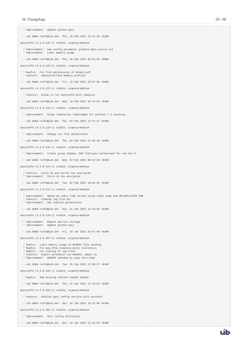- \* Improvement: Sort config dictionary
- -- uib GmbH <info@uib.de> Sun, 10 Jan 2021 21:41:53 +0100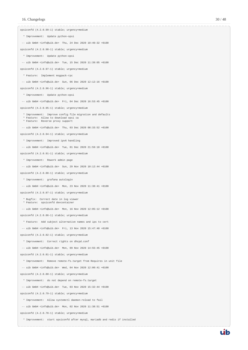opsiconfd (4.2.0.99-1) stable; urgency=medium \* Improvement: Update python-opsi -- uib GmbH <info@uib.de> Thu, 24 Dec 2020 10:40:32 +0100 opsiconfd (4.2.0.98-1) stable; urgency=medium \* Improvement: Update python-opsi -- uib GmbH <info@uib.de> Tue, 15 Dec 2020 11:39:05 +0100 opsiconfd (4.2.0.97-1) stable; urgency=medium \* Feature: Implement msgpack-rpc -- uib GmbH <info@uib.de> Sun, 06 Dec 2020 12:12:16 +0100 opsiconfd (4.2.0.96-1) stable; urgency=medium \* Improvement: Update python-opsi -- uib GmbH <info@uib.de> Fri, 04 Dec 2020 16:53:45 +0100 opsiconfd (4.2.0.95-1) stable; urgency=medium \* Improvement: Improve config file migration and defaults \* Feature: Allow to download opsi ca \* Feature: Reverse proxy support -- uib GmbH <info@uib.de> Thu, 03 Dec 2020 08:33:52 +0100 opsiconfd (4.2.0.94-1) stable; urgency=medium \* Improvement: Improved ipv6 handling -- uib GmbH <info@uib.de> Tue, 01 Dec 2020 21:59:18 +0100 opsiconfd (4.2.0.91-1) stable; urgency=medium \* Improvement: Rework admin page -- uib GmbH <info@uib.de> Sun, 29 Nov 2020 10:12:44 +0100 opsiconfd (4.2.0.88-1) stable; urgency=medium \* Improvement: grafana autologin -- uib GmbH <info@uib.de> Mon, 23 Nov 2020 11:38:41 +0100 opsiconfd (4.2.0.87-1) stable; urgency=medium \* Bugfix: Correct date in log viewer \* Feature: opsiconfd devcontainer -- uib GmbH <info@uib.de> Mon, 16 Nov 2020 12:05:12 +0100 opsiconfd (4.2.0.86-1) stable; urgency=medium \* Feature: Add subject alternative names and ips to cert -- uib GmbH <info@uib.de> Fri, 13 Nov 2020 15:47:40 +0100 opsiconfd (4.2.0.82-1) stable; urgency=medium \* Improvement: Correct rights on dhcpd.conf -- uib GmbH <info@uib.de> Mon, 09 Nov 2020 14:55:45 +0100 opsiconfd (4.2.0.81-1) stable; urgency=medium \* Improvement: Remove remote-fs.target from Requires in unit file -- uib GmbH <info@uib.de> Wed, 04 Nov 2020 12:00:41 +0100 opsiconfd (4.2.0.80-1) stable; urgency=medium \* Improvement: do not depend on remote-fs.target -- uib GmbH <info@uib.de> Tue, 03 Nov 2020 15:32:44 +0100 opsiconfd (4.2.0.79-1) stable; urgency=medium \* Improvement: Allow systemctl daemon-reload to fail -- uib GmbH <info@uib.de> Mon, 02 Nov 2020 11:38:51 +0100

opsiconfd (4.2.0.78-1) stable; urgency=medium

\* Improvement: start opsiconfd after mysql, mariadb and redis if installed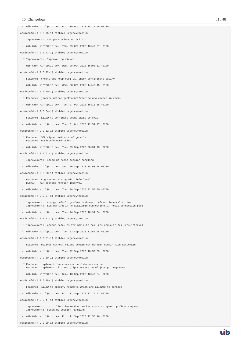| $--$ uib GmbH <info@uib.de> Fri, 30 Oct 2020 14:21:55 +0100</info@uib.de>                                                                                  |
|------------------------------------------------------------------------------------------------------------------------------------------------------------|
| opsiconfd (4.2.0.75-1) stable; urgency=medium                                                                                                              |
| * Improvement: Set permissions on ssl dir                                                                                                                  |
| $--$ uib GmbH <info@uib.de> Thu, 29 Oct 2020 13:49:07 +0100</info@uib.de>                                                                                  |
| opsiconfd (4.2.0.73-1) stable; urgency=medium                                                                                                              |
| * Improvement: Improve log viewer                                                                                                                          |
| -- uib GmbH <info@uib.de> Wed, 28 Oct 2020 15:03:11 +0100</info@uib.de>                                                                                    |
| opsiconfd (4.2.0.72-1) stable; urgency=medium                                                                                                              |
| * Feature: Create and keep opsi CA, check certificate expiry                                                                                               |
| -- uib GmbH <info@uib.de> Wed, 28 Oct 2020 14:47:45 +0100</info@uib.de>                                                                                    |
| opsiconfd (4.2.0.70-1) stable; urgency=medium                                                                                                              |
| * Feature: jsonrpc method getProductOrdering now cached in redis                                                                                           |
| $--$ uib GmbH <info@uib.de> Tue, 27 Oct 2020 15:15:15 +0100</info@uib.de>                                                                                  |
| opsiconfd (4.2.0.64-1) stable; urgency=medium                                                                                                              |
| * Feature: allow to configure setup tasks to skip                                                                                                          |
| $--$ uib GmbH <info@uib.de> Thu, 01 Oct 2020 12:54:17 +0200</info@uib.de>                                                                                  |
| opsiconfd (4.2.0.62-1) stable; urgency=medium                                                                                                              |
| * Feature: SSL cipher suites configurable                                                                                                                  |
| * Feature: opsiconfd monitoring                                                                                                                            |
| $--$ uib GmbH <info@uib.de> Tue, 29 Sep 2020 08:34:13 +0200</info@uib.de>                                                                                  |
| opsiconfd (4.2.0.61-1) stable; urgency=medium                                                                                                              |
| * Improvement: speed up redis session handling                                                                                                             |
| $--$ uib GmbH <info@uib.de> Sat, 26 Sep 2020 14:08:14 +0200</info@uib.de>                                                                                  |
| opsiconfd (4.2.0.58-1) stable; urgency=medium                                                                                                              |
| * Feature: Log Server-Timing with info level<br>* Bugfix: fix grafana refresh interval                                                                     |
| $--$ uib GmbH <info@uib.de> Thu, 24 Sep 2020 22:57:30 +0200</info@uib.de>                                                                                  |
| opsiconfd (4.2.0.57-1) stable; urgency=medium                                                                                                              |
| * Improvement: Change default grafana dashboard refresh interval to 60s<br>* Improvement: Log warning if no available connections in redis connection pool |
| -- uib GmbH <info@uib.de> Thu, 24 Sep 2020 18:34:34 +0200</info@uib.de>                                                                                    |
| opsiconfd (4.2.0.52-1) stable; urgency=medium                                                                                                              |
| * Improvement: change defaults for max-auth-failures and auth-failures-interval                                                                            |
| $--$ uib GmbH <info@uib.de> Tue, 22 Sep 2020 11:55:08 +0200</info@uib.de>                                                                                  |
| opsiconfd (4.2.0.51-1) stable; urgency=medium                                                                                                              |
| * Feature: deliver correct client domain not default domain with getDomain                                                                                 |
| -- uib GmbH <info@uib.de> Tue, 22 Sep 2020 10:57:59 +0200</info@uib.de>                                                                                    |
| opsiconfd (4.2.0.50-1) stable; urgency=medium                                                                                                              |
| * Feature: implement 1z4 compression / decompression                                                                                                       |
| * Feature: implement zlib and gzip compression of jsonrpc responses                                                                                        |
| -- uib GmbH <info@uib.de> Sun, 13 Sep 2020 13:47:34 +0200</info@uib.de>                                                                                    |
| opsiconfd (4.2.0.48-1) stable; urgency=medium                                                                                                              |
| * Feature: Allow to specify networks which are allowed to connect                                                                                          |
| -- uib GmbH <info@uib.de> Fri, 11 Sep 2020 17:25:52 +0200</info@uib.de>                                                                                    |
| opsiconfd (4.2.0.47-1) stable; urgency=medium                                                                                                              |
| * Improvement: init client backend on worker start to speed up first request<br>* Improvement: speed up session handling                                   |
| -- uib GmbH <info@uib.de> Fri, 11 Sep 2020 12:58:46 +0200</info@uib.de>                                                                                    |

opsiconfd (4.2.0.39-1) stable; urgency=medium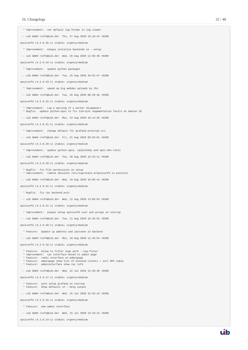#### 16. Changelogs 32 / 48

 \* Improvement: set default log format in log viewer -- uib GmbH <info@uib.de> Thu, 27 Aug 2020 16:18:42 +0200 opsiconfd (4.2.0.35-1) stable; urgency=medium \* Improvement: always initalize backends on --setup -- uib GmbH <info@uib.de> Wed, 26 Aug 2020 11:56:40 +0200 opsiconfd (4.2.0.34-1) stable; urgency=medium \* Improvement: update python packages -- uib GmbH <info@uib.de> Tue, 25 Aug 2020 20:01:47 +0200 opsiconfd (4.2.0.33-1) stable; urgency=medium \* Improvement: speed up big webdav uploads by 25x -- uib GmbH <info@uib.de> Tue, 25 Aug 2020 08:29:46 +0200 opsiconfd (4.2.0.32-1) stable; urgency=medium \* Improvement: Log a warning if a worker disappears \* Bugfix: update python-opsi to fix librsync segementation faults on debian 10 -- uib GmbH <info@uib.de> Mon, 24 Aug 2020 10:14:35 +0200 opsiconfd (4.2.0.31-1) stable; urgency=medium \* Improvement: change default for grafana-external-url -- uib GmbH <info@uib.de> Fri, 21 Aug 2020 09:53:01 +0200 opsiconfd (4.2.0.29-1) stable; urgency=medium \* Improvement: update python-opsi, sqlalchemy and opsi-dev-tools -- uib GmbH <info@uib.de> Thu, 20 Aug 2020 16:23:11 +0200 opsiconfd (4.2.0.28-1) stable; urgency=medium \* Bugfix: fix file permissions on setup \* Improvement: remove obsolete /etc/logrotate.d/opsiconfd in postinst -- uib GmbH <info@uib.de> Wed, 19 Aug 2020 16:05:41 +0200 opsiconfd (4.2.0.22-1) stable; urgency=medium \* Bugfix: fix rpc backend\_exit -- uib GmbH <info@uib.de> Wed, 12 Aug 2020 13:03:53 +0200 opsiconfd (4.2.0.21-1) stable; urgency=medium \* Improvement: always setup opsiconfd user and groups on startup -- uib GmbH <info@uib.de> Tue, 11 Aug 2020 16:26:52 +0200 opsiconfd (4.2.0.20-1) stable; urgency=medium \* Feature: Update ip address and lastseen in backend -- uib GmbH <info@uib.de> Mon, 10 Aug 2020 11:45:54 +0200 opsiconfd (4.2.0.18-1) stable; urgency=medium \* Feature: Allow to filter logs with --log-filter \* Improvement: rpc interface moved to admin page \* Feature: redis interface on adminpage \* Feature: adminpage show list of blocked clients / sort RPC table \* Feature: admininterface show rpc info -- uib GmbH <info@uib.de> Wed, 22 Jul 2020 12:29:30 +0200 opsiconfd (4.2.0.17-1) stable; urgency=medium \* Feature: auto setup grafana on startup \* Feature: Show defaults in --help output -- uib GmbH <info@uib.de> Wed, 15 Jul 2020 22:53:16 +0200 opsiconfd (4.2.0.16-1) stable; urgency=medium \* Feature: new admin interface -- uib GmbH <info@uib.de> Wed, 15 Jul 2020 14:19:12 +0200

opsiconfd (4.2.0.14-1) stable; urgency=medium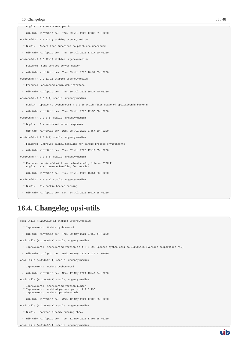| * Bugfix: Fix websockets patch                                                                            |
|-----------------------------------------------------------------------------------------------------------|
| $--$ uib GmbH <info@uib.de> Thu, 09 Jul 2020 17:32:51 +0200</info@uib.de>                                 |
| opsiconfd (4.2.0.13-1) stable; urgency=medium                                                             |
| * Bugfix: Assert that functions to patch are unchanged                                                    |
| $--$ uib GmbH <info@uib.de> Thu, 09 Jul 2020 17:17:00 +0200</info@uib.de>                                 |
| opsiconfd (4.2.0.12-1) stable; urgency=medium                                                             |
| * Feature: Send correct Server header                                                                     |
| $--$ uib GmbH <info@uib.de> Thu, 09 Jul 2020 16:31:53 +0200</info@uib.de>                                 |
| opsiconfd (4.2.0.11-1) stable; urgency=medium                                                             |
| * Feature: opsiconfd admin web interface                                                                  |
| $--$ uib GmbH <info@uib.de> Thu, 09 Jul 2020 09:27:40 +0200</info@uib.de>                                 |
| opsiconfd (4.2.0.9-1) stable; urgency=medium                                                              |
| * Bugfix: Update to python-opsi 4.2.0.35 which fixes usage of opsipxeconfd backend                        |
| $--$ uib GmbH <info@uib.de> Thu, 09 Jul 2020 12:50:38 +0200</info@uib.de>                                 |
| opsiconfd (4.2.0.8-1) stable; urgency=medium                                                              |
| * Bugfix: Fix websocket error responses                                                                   |
| $--$ uib GmbH <info@uib.de> Wed, 08 Jul 2020 07:57:50 +0200</info@uib.de>                                 |
| opsiconfd (4.2.0.7-1) stable; urgency=medium                                                              |
| * Feature: Improved signal handling for single process environments                                       |
| -- uib GmbH <info@uib.de> Tue, 07 Jul 2020 17:17:55 +0200</info@uib.de>                                   |
| opsiconfd (4.2.0.6-1) stable; urgency=medium                                                              |
| * Feature: opsiconfd will now reload config file on SIGHUP<br>* Bugfix: Fix timezone handling for metrics |
| -- uib GmbH <info@uib.de> Tue, 07 Jul 2020 15:54:38 +0200</info@uib.de>                                   |
| opsiconfd (4.2.0.5-1) stable; urgency=medium                                                              |
| * Bugfix: fix cookie header parsing                                                                       |
| -- uib GmbH <info@uib.de> Sat, 04 Jul 2020 10:17:58 +0200</info@uib.de>                                   |

## <span id="page-35-0"></span>**16.4. Changelog opsi-utils**

```
opsi-utils (4.2.0.100-1) stable; urgency=medium
   * Improvement: Update python-opsi
  -- uib GmbH <info@uib.de> Thu, 20 May 2021 07:59:47 +0200
opsi-utils (4.2.0.99-1) stable; urgency=medium
   * Improvement: incremented version to 4.2.0.99, updated python-opsi to 4.2.0.195 (version comparation fix)
  -- uib GmbH <info@uib.de> Wed, 19 May 2021 11:39:57 +0000
opsi-utils (4.2.0.98-1) stable; urgency=medium
   * Improvement: Update python-opsi
  -- uib GmbH <info@uib.de> Mon, 17 May 2021 13:49:24 +0200
opsi-utils (4.2.0.97-1) stable; urgency=medium
 * Improvement: incremented version number
 * Improvement: updated python-opsi to 4.2.0.193
 * Improvement: Update opsi-dev-tools
  -- uib GmbH <info@uib.de> Wed, 12 May 2021 17:03:55 +0200
opsi-utils (4.2.0.96-1) stable; urgency=medium
   * Bugfix: Correct already running check
  -- uib GmbH <info@uib.de> Tue, 11 May 2021 17:04:58 +0200
opsi-utils (4.2.0.95-1) stable; urgency=medium
```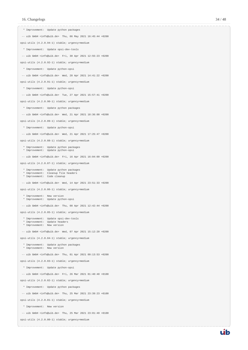\* Improvement: Update python packages -- uib GmbH <info@uib.de> Thu, 06 May 2021 16:45:44 +0200 opsi-utils (4.2.0.94-1) stable; urgency=medium \* Improvement: Update opsi-dev-tools -- uib GmbH <info@uib.de> Fri, 30 Apr 2021 12:55:23 +0200 opsi-utils (4.2.0.92-1) stable; urgency=medium \* Improvement: Update python-opsi -- uib GmbH <info@uib.de> Wed, 28 Apr 2021 14:41:22 +0200 opsi-utils (4.2.0.91-1) stable; urgency=medium \* Improvement: Update python-opsi -- uib GmbH <info@uib.de> Tue, 27 Apr 2021 15:57:41 +0200 opsi-utils (4.2.0.90-1) stable; urgency=medium \* Improvement: Update python packages -- uib GmbH <info@uib.de> Wed, 21 Apr 2021 18:36:00 +0200 opsi-utils (4.2.0.89-1) stable; urgency=medium \* Improvement: Update python-opsi -- uib GmbH <info@uib.de> Wed, 21 Apr 2021 17:25:47 +0200 opsi-utils (4.2.0.88-1) stable; urgency=medium \* Improvement: Update python packages \* Improvement: Update python-opsi -- uib GmbH <info@uib.de> Fri, 16 Apr 2021 16:04:09 +0200 opsi-utils (4.2.0.87-1) stable; urgency=medium \* Improvement: Update python packages \* Improvement: Cleanup file headers \* Improvement: Code cleanup -- uib GmbH <info@uib.de> Wed, 14 Apr 2021 23:51:33 +0200 opsi-utils (4.2.0.86-1) stable; urgency=medium \* Improvement: New version \* Improvement: Update python-opsi -- uib GmbH <info@uib.de> Thu, 08 Apr 2021 12:42:44 +0200 opsi-utils (4.2.0.85-1) stable; urgency=medium \* Improvement: Update opsi-dev-tools \* Improvement: Update headers \* Improvement: New version -- uib GmbH <info@uib.de> Wed, 07 Apr 2021 15:12:20 +0200 opsi-utils (4.2.0.84-1) stable; urgency=medium \* Improvement: Update python packages \* Improvement: New version -- uib GmbH <info@uib.de> Thu, 01 Apr 2021 09:13:53 +0200 opsi-utils (4.2.0.83-1) stable; urgency=medium \* Improvement: Update python-opsi -- uib GmbH <info@uib.de> Fri, 26 Mar 2021 01:40:40 +0100 opsi-utils (4.2.0.82-1) stable; urgency=medium \* Improvement: Update python packages -- uib GmbH <info@uib.de> Thu, 25 Mar 2021 23:39:23 +0100 opsi-utils (4.2.0.81-1) stable; urgency=medium \* Improvement: New version -- uib GmbH <info@uib.de> Thu, 25 Mar 2021 23:01:49 +0100

opsi-utils (4.2.0.80-1) stable; urgency=medium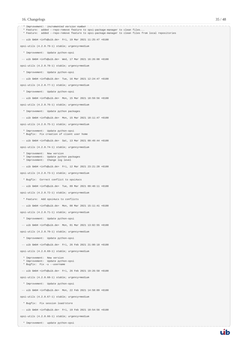

\* Improvement: update python-opsi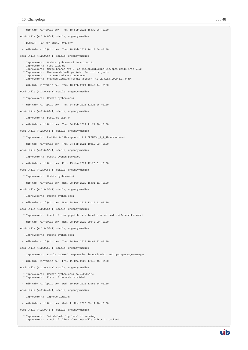-- uib GmbH <info@uib.de> Thu, 18 Feb 2021 15:30:26 +0100 opsi-utils (4.2.0.65-1) stable; urgency=medium \* Bugfix: Fix for empty HOME env -- uib GmbH <info@uib.de> Thu, 18 Feb 2021 14:19:54 +0100 opsi-utils (4.2.0.64-1) stable; urgency=medium \* Improvement: Update python-opsi to 4.2.0.141 \* Improvement: Code cleanup \* Improvement: Merge branch 'v4.2' of gitlab.uib.gmbh:uib/opsi-utils into v4.2 \* Improvement: Use new default pylintrc for old projects \* Improvement: incremented version number \* Improvement: changed logging format (stderr) to DEFAULT\_COLORED\_FORMAT -- uib GmbH <info@uib.de> Thu, 18 Feb 2021 10:49:14 +0100 opsi-utils (4.2.0.63-1) stable; urgency=medium \* Improvement: Update python-opsi -- uib GmbH <info@uib.de> Thu, 04 Feb 2021 11:21:26 +0100 opsi-utils (4.2.0.62-1) stable; urgency=medium \* Improvement: postinst exit 0 -- uib GmbH <info@uib.de> Thu, 04 Feb 2021 11:21:26 +0100 opsi-utils (4.2.0.61-1) stable; urgency=medium \* Improvement: Red Hat 8 libcrypto.so.1.1 OPENSSL\_1\_1\_1b workaround -- uib GmbH <info@uib.de> Thu, 04 Feb 2021 10:13:23 +0100 opsi-utils (4.2.0.58-1) stable; urgency=medium \* Improvement: Update python packages -- uib GmbH <info@uib.de> Fri, 15 Jan 2021 12:28:31 +0100 opsi-utils (4.2.0.56-1) stable; urgency=medium \* Improvement: Update python-opsi -- uib GmbH <info@uib.de> Mon, 28 Dec 2020 15:31:11 +0100 opsi-utils (4.2.0.55-1) stable; urgency=medium \* Improvement: Update python-opsi -- uib GmbH <info@uib.de> Mon, 28 Dec 2020 13:19:41 +0100 opsi-utils (4.2.0.54-1) stable; urgency=medium \* Improvement: Check if user pcpatch is a local user on task setPcpatchPassword -- uib GmbH <info@uib.de> Mon, 28 Dec 2020 09:48:00 +0100 opsi-utils (4.2.0.53-1) stable; urgency=medium \* Improvement: Update python-opsi -- uib GmbH <info@uib.de> Thu, 24 Dec 2020 10:41:32 +0100 opsi-utils (4.2.0.50-1) stable; urgency=medium \* Improvement: Enable JSONRPC compression in opsi-admin and opsi-package-manager -- uib GmbH <info@uib.de> Fri, 11 Dec 2020 17:40:45 +0100 opsi-utils (4.2.0.46-1) stable; urgency=medium \* Improvement: Update python-opsi to 4.2.0.104 \* Improvement: Error if no mode provided -- uib GmbH <info@uib.de> Wed, 09 Dec 2020 13:56:14 +0100 opsi-utils (4.2.0.44-1) stable; urgency=medium \* Improvement: improve logging -- uib GmbH <info@uib.de> Wed, 11 Nov 2020 09:14:16 +0100

opsi-utils (4.2.0.41-1) stable; urgency=medium

 \* Improvement: Set default log level to warning \* Improvement: Check if client from host-file exists in backend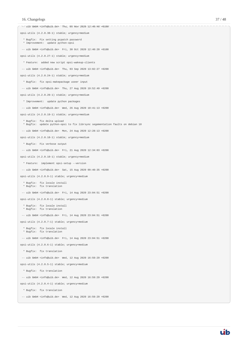| $--$ uib GmbH <info@uib.de> Thu, 05 Nov 2020 12:40:46 +0100</info@uib.de>                                    |
|--------------------------------------------------------------------------------------------------------------|
| opsi-utils (4.2.0.38-1) stable; urgency=medium                                                               |
| * Bugfix: Fix setting pcpatch password<br>* Improvement: update python-opsi                                  |
| $--$ uib GmbH <info@uib.de> Fri, 30 Oct 2020 12:40:20 +0100</info@uib.de>                                    |
| opsi-utils (4.2.0.27-1) stable; urgency=medium                                                               |
| * Feature: added new script opsi-wakeup-clients                                                              |
| -- uib GmbH <info@uib.de> Thu, 03 Sep 2020 <math>13:02:27 +0200</math></info@uib.de>                         |
| opsi-utils (4.2.0.24-1) stable; urgency=medium                                                               |
| * Bugfix: fix opsi-makepackage useer input                                                                   |
| $--$ uib GmbH <info@uib.de> Thu, 27 Aug 2020 19:52:49 +0200</info@uib.de>                                    |
| opsi-utils (4.2.0.20-1) stable; urgency=medium                                                               |
| * Improvement: update python packages                                                                        |
| -- uib GmbH <info@uib.de> Wed, 26 Aug 2020 10:41:13 +0200</info@uib.de>                                      |
| opsi-utils (4.2.0.19-1) stable; urgency=medium                                                               |
| * Bugfix: fix delta upload<br>* Bugfix: update python-opsi to fix librsync segementation faults on debian 10 |
| $--$ uib GmbH <info@uib.de> Mon, 24 Aug 2020 12:28:13 +0200</info@uib.de>                                    |
| opsi-utils (4.2.0.18-1) stable; urgency=medium                                                               |
| * Bugfix: Fix verbose output                                                                                 |
| -- uib GmbH <info@uib.de> Fri, 21 Aug 2020 12:34:03 +0200</info@uib.de>                                      |
| opsi-utils (4.2.0.10-1) stable; urgency=medium                                                               |
| * Feature: implement opsi-setup --version                                                                    |
| $--$ uib GmbH <info@uib.de> Sat, 15 Aug 2020 09:40:35 +0200</info@uib.de>                                    |
| opsi-utils (4.2.0.9-1) stable; urgency=medium                                                                |
| * Bugfix: fix locale install<br>* Bugfix: fix translation                                                    |
| $--$ uib GmbH <info@uib.de> Fri, 14 Aug 2020 23:04:51 +0200</info@uib.de>                                    |
| opsi-utils (4.2.0.8-1) stable; urgency=medium                                                                |
| * Bugfix: fix locale install<br>* Bugfix: fix translation                                                    |
| $--$ uib GmbH <info@uib.de> Fri, 14 Aug 2020 23:04:51 +0200</info@uib.de>                                    |
| opsi-utils (4.2.0.7-1) stable; urgency=medium                                                                |
| * Bugfix: fix locale install<br>* Bugfix: fix translation                                                    |
| -- uib GmbH <info@uib.de> Fri, 14 Aug 2020 23:04:51 +0200</info@uib.de>                                      |
| opsi-utils (4.2.0.6-1) stable; urgency=medium                                                                |
| * Bugfix: fix translation                                                                                    |
| $--$ uib GmbH <info@uib.de> Wed, 12 Aug 2020 16:59:29 +0200</info@uib.de>                                    |
| opsi-utils (4.2.0.5-1) stable; urgency=medium                                                                |
| * Bugfix: fix translation                                                                                    |
| -- uib GmbH <info@uib.de> Wed, 12 Aug 2020 16:59:29 +0200</info@uib.de>                                      |
| opsi-utils (4.2.0.4-1) stable; urgency=medium                                                                |
| * Bugfix: fix translation                                                                                    |
| -- uib GmbH <info@uib.de> Wed, 12 Aug 2020 16:59:29 +0200</info@uib.de>                                      |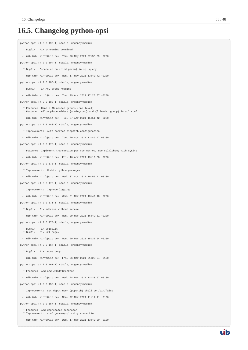## <span id="page-40-0"></span>**16.5. Changelog python-opsi**

```
python-opsi (4.2.0.196-1) stable; urgency=medium
   * Bugfix: Fix streaming download
  -- uib GmbH <info@uib.de> Thu, 20 May 2021 07:58:09 +0200
python-opsi (4.2.0.194-1) stable; urgency=medium
   * Bugfix: Escape colon (bind param) in sql query
  -- uib GmbH <info@uib.de> Mon, 17 May 2021 13:40:42 +0200
python-opsi (4.2.0.186-1) stable; urgency=medium
   * Bugfix: Fix ACL group reading
  -- uib GmbH <info@uib.de> Thu, 29 Apr 2021 17:28:37 +0200
python-opsi (4.2.0.183-1) stable; urgency=medium
   * Feature: Handle AD nested groups (one level)
   * Feature: Allow placeholders {admingroup} and {fileadmingroup} in acl.conf
  -- uib GmbH <info@uib.de> Tue, 27 Apr 2021 15:51:42 +0200
python-opsi (4.2.0.180-1) stable; urgency=medium
   * Improvement: Auto correct dispatch configuration
  -- uib GmbH <info@uib.de> Tue, 20 Apr 2021 12:49:47 +0200
python-opsi (4.2.0.178-1) stable; urgency=medium
   * Feature: Implement transaction per rpc method, use sqlalchemy with SQLite
  -- uib GmbH <info@uib.de> Fri, 16 Apr 2021 13:12:58 +0200
python-opsi (4.2.0.175-1) stable; urgency=medium
   * Improvement: Update python packages
 -- uib GmbH <info@uib.de> Wed, 07 Apr 2021 10:55:13 +0200
python-opsi (4.2.0.173-1) stable; urgency=medium
  * Improvement: Improve logging
  -- uib GmbH <info@uib.de> Wed, 31 Mar 2021 13:49:40 +0200
python-opsi (4.2.0.171-1) stable; urgency=medium
  * Bugfix: Fix address without scheme
  -- uib GmbH <info@uib.de> Mon, 29 Mar 2021 16:49:51 +0200
python-opsi (4.2.0.170-1) stable; urgency=medium
   * Bugfix: Fix urlsplit
   * Bugfix: Fix url regex
  -- uib GmbH <info@uib.de> Mon, 29 Mar 2021 15:32:54 +0200
python-opsi (4.2.0.167-1) stable; urgency=medium
  * Bugfix: Fix repository
 -- uib GmbH <info@uib.de> Fri, 26 Mar 2021 01:22:04 +0100
python-opsi (4.2.0.161-1) stable; urgency=medium
  * Feature: Add new JSONRPCBackend
  -- uib GmbH <info@uib.de> Wed, 24 Mar 2021 13:38:57 +0100
python-opsi (4.2.0.158-1) stable; urgency=medium
   * Improvement: Set depot user (pcpatch) shell to /bin/false
  -- uib GmbH <info@uib.de> Mon, 22 Mar 2021 11:11:41 +0100
python-opsi (4.2.0.157-1) stable; urgency=medium
   * Feature: Add deprecated decorator
   * Improvement: configure-mysql retry connection
  -- uib GmbH <info@uib.de> Wed, 17 Mar 2021 13:40:30 +0100
```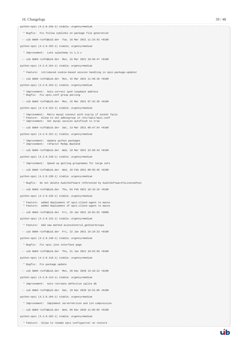python-opsi (4.2.0.156-1) stable; urgency=medium

| * Bugfix: Fix follow symlinks on package file generation                                                                                                                          |
|-----------------------------------------------------------------------------------------------------------------------------------------------------------------------------------|
| $--$ uib GmbH <info@uib.de> Tue, 16 Mar 2021 11:15:42 +0100</info@uib.de>                                                                                                         |
| python-opsi (4.2.0.155-1) stable; urgency=medium                                                                                                                                  |
| * Improvement: Lock sqlachemy to 1.3.x                                                                                                                                            |
| $--$ uib GmbH <info@uib.de> Mon, 15 Mar 2021 18:56:47 +0100</info@uib.de>                                                                                                         |
| python-opsi (4.2.0.154-1) stable; urgency=medium                                                                                                                                  |
| * Feature: introduced cookie-based session handling in opsi-package-updater                                                                                                       |
| -- uib GmbH <info@uib.de> Mon, 15 Mar 2021 <math>11:49:18 +0100</math></info@uib.de>                                                                                              |
| python-opsi (4.2.0.153-1) stable; urgency=medium                                                                                                                                  |
| * Improvement: Auto correct ipv6 loopback address<br>* Bugfix: Fix opsi.conf group parsing                                                                                        |
| $--$ uib GmbH <info@uib.de> Mon, 15 Mar 2021 07:42:35 +0100</info@uib.de>                                                                                                         |
| python-opsi (4.2.0.152-1) stable; urgency=medium                                                                                                                                  |
| * Improvement: Retry mysql connect with tcp/ip if socket fails<br>* Feature: Allow to set admingroup in /etc/opsi/opsi.conf<br>* Improvement: Set mysql session autoflush to true |
| $--$ uib GmbH <info@uib.de> Sat, 13 Mar 2021 09:47:54 +0100</info@uib.de>                                                                                                         |
| python-opsi (4.2.0.151-1) stable; urgency=medium                                                                                                                                  |
| * Improvement: Update python packages<br>* Improvement: refactor MySQL-Backend                                                                                                    |
| $--$ uib GmbH <info@uib.de> Wed, 10 Mar 2021 22:58:43 +0100</info@uib.de>                                                                                                         |
| python-opsi (4.2.0.139-1) stable; urgency=medium                                                                                                                                  |
| * Improvement: Speed up getting groupnames for large sets                                                                                                                         |
| -- uib GmbH <info@uib.de> Wed, 10 Feb 2021 00:55:45 +0100</info@uib.de>                                                                                                           |
| python-opsi (4.2.0.138-1) stable; urgency=medium                                                                                                                                  |
| * Bugfix: do not delete AuditSoftware referenced by AuditSoftwareToLicensePool                                                                                                    |
| -- uib GmbH <info@uib.de> Thu, 04 Feb 2021 18:16:16 +0100</info@uib.de>                                                                                                           |
| python-opsi (4.2.0.135-1) stable; urgency=medium                                                                                                                                  |
| * Feature: added deployment of opsi-client-agent to macos<br>* Feature: added deployment of opsi-client-agent to macos                                                            |
| $--$ uib GmbH <info@uib.de> Fri, 29 Jan 2021 16:01:52 +0000</info@uib.de>                                                                                                         |
| python-opsi (4.2.0.131-1) stable; urgency=medium                                                                                                                                  |
| * Feature: Add new method accessControl_getUserGroups                                                                                                                             |
| -- uib GmbH <info@uib.de> Fri, 22 Jan 2021 <math>16:19:23 +0100</math></info@uib.de>                                                                                              |
| python-opsi (4.2.0.130-1) stable; urgency=medium                                                                                                                                  |
| * Bugfix: Fix opsi json interface page                                                                                                                                            |
| -- uib GmbH <info@uib.de> Thu, 21 Jan 2021 10:52:50 +0100</info@uib.de>                                                                                                           |
| python-opsi (4.2.0.118-1) stable; urgency=medium                                                                                                                                  |
| * Bugfix: Fix package update                                                                                                                                                      |
| -- uib GmbH <info@uib.de> Mon, 28 Dec 2020 13:18:22 +0100</info@uib.de>                                                                                                           |
| python-opsi (4.2.0.114-1) stable; urgency=medium                                                                                                                                  |
| * Improvement: Auto recreate defective sqlite db                                                                                                                                  |
| -- uib GmbH <info@uib.de> Sat, 19 Dec 2020 <math>16:51:05 +0100</math></info@uib.de>                                                                                              |
| python-opsi (4.2.0.104-1) stable; urgency=medium                                                                                                                                  |
| * Improvement: Implement serverVersion and 1z4 compression                                                                                                                        |
| -- uib GmbH <info@uib.de> Wed, 09 Dec 2020 11:05:02 +0100</info@uib.de>                                                                                                           |

python-opsi (4.2.0.102-1) stable; urgency=medium

\* Feature: Allow to rename opsi configserver on restore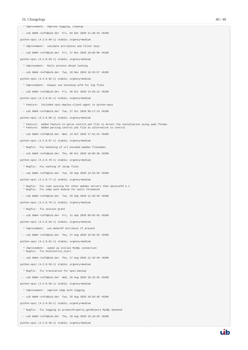| * Improvement: Improve logging, cleanup                                                                                      |
|------------------------------------------------------------------------------------------------------------------------------|
| -- uib GmbH <info@uib.de> Fri, 04 Dec 2020 11:48:43 +0100</info@uib.de>                                                      |
| python-opsi (4.2.0.99-1) stable; urgency=medium                                                                              |
| * Improvement: validate attributes and filter keys                                                                           |
| -- uib GmbH <info@uib.de> Fri, 27 Nov 2020 18:05:06 +0100</info@uib.de>                                                      |
| python-opsi (4.2.0.94-1) stable; urgency=medium                                                                              |
| * Improvement: Multi process dhcpd locking                                                                                   |
| -- uib GmbH <info@uib.de> Tue, 10 Nov 2020 16:32:57 +0100</info@uib.de>                                                      |
| python-opsi (4.2.0.92-1) stable; urgency=medium                                                                              |
| * Improvement: Always use encoding utf8 for log files                                                                        |
| -- uib GmbH <info@uib.de> Fri, 30 Oct 2020 13:29:12 +0100</info@uib.de>                                                      |
| python-opsi (4.2.0.91-1) stable; urgency=medium                                                                              |
| * Feature: Included opsi-deploy-client-agent in python-opsi                                                                  |
| $--$ uib GmbH <info@uib.de> Tue, 27 Oct 2020 09:17:13 +0100</info@uib.de>                                                    |
| python-opsi (4.2.0.89-1) stable; urgency=medium                                                                              |
| * Feature: added feature to parse control.yml file to direct the installation using yaml format.                             |
| * Feature: Added parsing control.yml file as alternative to control                                                          |
| -- uib GmbH <info@uib.de> Wed, 14 Oct 2020 17:51:24 +0200</info@uib.de>                                                      |
| python-opsi (4.2.0.87-1) stable; urgency=medium                                                                              |
| * Bugfix: Fix handling of url encoded webdav filenames                                                                       |
| $--$ uib GmbH <info@uib.de> Thu, 08 Oct 2020 10:05:39 +0200</info@uib.de>                                                    |
| python-opsi (4.2.0.78-1) stable; urgency=medium                                                                              |
| * Bugfix: Fix caching of large files                                                                                         |
| -- uib GmbH <info@uib.de> Tue, 29 Sep 2020 <math>14:53:59 +0200</math></info@uib.de>                                         |
| python-opsi (4.2.0.77-1) stable; urgency=medium                                                                              |
| * Bugfix: Fix repo syncing for other webdav servers than opsiconfd 4.1<br>* Bugfix: Fix ldap auth module for multi threadind |
| -- uib GmbH <info@uib.de> Tue, 29 Sep 2020 <math>11:39:49 +0200</math></info@uib.de>                                         |
| python-opsi (4.2.0.70-1) stable; urgency=medium                                                                              |
| * Bugfix: fix session grant                                                                                                  |
| -- uib GmbH <info@uib.de> Fri, 11 Sep 2020 09:02:55 +0200</info@uib.de>                                                      |
| python-opsi (4.2.0.64-1) stable; urgency=medium                                                                              |
| * Improvement: use meberOf attribute if present                                                                              |
| -- uib GmbH <info@uib.de> Thu, 27 Aug 2020 <math>16:04:25 +0200</math></info@uib.de>                                         |
| python-opsi (4.2.0.61-1) stable; urgency=medium                                                                              |
| * Improvement: speed up initial MySQL connection<br>* Bugfix: fix hostControl_start                                          |
| $--$ uib GmbH <info@uib.de> Thu, 27 Aug 2020 11:32:49 +0200</info@uib.de>                                                    |
| python-opsi (4.2.0.59-1) stable; urgency=medium                                                                              |
| * Bugfix: fix translation for opsi-backup                                                                                    |
| -- uib GmbH <info@uib.de> Wed, 26 Aug 2020 10:32:35 +0200</info@uib.de>                                                      |
| python-opsi (4.2.0.58-1) stable; urgency=medium                                                                              |
| * Improvement: improve ldap auth logging                                                                                     |
| -- uib GmbH <info@uib.de> Tue, 25 Aug 2020 19:59:30 +0200</info@uib.de>                                                      |
| python-opsi (4.2.0.55-1) stable; urgency=medium                                                                              |
| * Bugfix: fix logging in productProperty_getObjects MySQL backend                                                            |
| $--$ uib GmbH <info@uib.de> Thu, 20 Aug 2020 16:19:28 +0200</info@uib.de>                                                    |
| python-opsi (4.2.0.48-1) stable; urgency=medium                                                                              |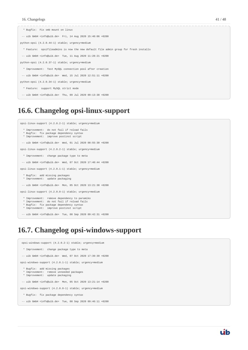```
 * Bugfix: Fix smb mount on linux
  -- uib GmbH <info@uib.de> Fri, 14 Aug 2020 15:40:06 +0200
python-opsi (4.2.0.44-1) stable; urgency=medium
   * Feature: opsifileadmins is now the new default file admin group for fresh installs
  -- uib GmbH <info@uib.de> Tue, 11 Aug 2020 11:28:21 +0200
python-opsi (4.2.0.37-1) stable; urgency=medium
   * Improvement: Test MySQL connection pool after creation
  -- uib GmbH <info@uib.de> Wed, 15 Jul 2020 12:51:11 +0200
python-opsi (4.2.0.34-1) stable; urgency=medium
   * Feature: support MySQL strict mode
  -- uib GmbH <info@uib.de> Thu, 09 Jul 2020 09:13:38 +0200
```
## <span id="page-43-0"></span>**16.6. Changelog opsi-linux-support**

opsi-linux-support (4.2.0.2-1) stable; urgency=medium

- \* Improvement: do not fail if reload fails
- Bugfix: fix package dependency syntax
- \* Improvement: improve postinst script

```
 -- uib GmbH <info@uib.de> Wed, 01 Jul 2020 08:55:30 +0200
```
opsi-linux-support (4.2.0.2-1) stable; urgency=medium

- \* Improvement: change package type to meta
- -- uib GmbH <info@uib.de> Wed, 07 Oct 2020 17:40:44 +0200

opsi-linux-support (4.2.0.1-1) stable; urgency=medium

- \* Bugfix: add missing packages \* Improvement: update packaging
- 
- -- uib GmbH <info@uib.de> Mon, 05 Oct 2020 13:21:38 +0200

opsi-linux-support (4.2.0.0-1) stable; urgency=medium

- \* Improvement: remove dependency to paramiko
- \* Improvement: do not fail if reload fails \* Bugfix: fix package dependency syntax
- \* Improvement: improve postinst script

```
 -- uib GmbH <info@uib.de> Tue, 08 Sep 2020 09:42:31 +0200
```
## <span id="page-43-1"></span>**16.7. Changelog opsi-windows-support**

```
 opsi-windows-support (4.2.0.2-1) stable; urgency=medium
  * Improvement: change package type to meta
```
- -- uib GmbH <info@uib.de> Wed, 07 Oct 2020 17:39:39 +0200
- opsi-windows-support (4.2.0.1-1) stable; urgency=medium
- \* Bugfix: add missing packages
- \* Improvement: remove unneeded packages \* Improvement: update packaging
- 
- -- uib GmbH <info@uib.de> Mon, 05 Oct 2020 13:21:14 +0200

opsi-windows-support (4.2.0.0-1) stable; urgency=medium

- \* Bugfix: fix package dependency syntax
- -- uib GmbH <info@uib.de> Tue, 08 Sep 2020 09:46:11 +0200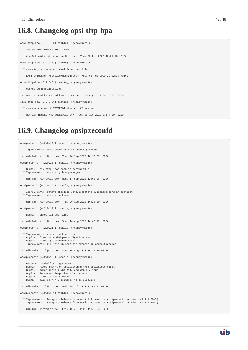## <span id="page-44-0"></span>**16.8. Changelog opsi-tftp-hpa**

```
opsi-tftp-hpa (5.2.8-53) stable; urgency=medium
   * Set default blocksize to 1024
  -- Jan Schneider <j.schneider@uib.de> Thu, 05 Nov 2020 15:51:18 +0100
opsi-tftp-hpa (5.2.8-52) stable; urgency=medium
   * removing tcp_wrapper-devel from spec file
  -- Erol Ueluekmen <e.ueluekmen@uib.de> Wed, 05 Feb 2020 22:22:37 +0100
opsi-tftp-hpa (5.2.8-51) testing; urgency=medium
   * corrected RPM licensing
  -- Mathias Radtke <m.radtke@uib.de> Fri, 30 Aug 2019 08:23:27 +0200
opsi-tftp-hpa (5.2.8-50) testing; urgency=medium
   * removed change of TFTPROOT when on UCS system
  -- Mathias Radtke <m.radtke@uib.de> Tue, 06 Aug 2019 07:44:20 +0200
```
## <span id="page-44-1"></span>**16.9. Changelog opsipxeconfd**

```
opsipxeconfd (4.2.0.17-1) stable; urgency=medium
   * Improvement: move patch to opsi-server package
  -- uib GmbH <info@uib.de> Thu, 24 Sep 2020 10:27:52 +0200
opsipxeconfd (4.2.0.15-1) stable; urgency=medium
   * Bugfix: fix tftp root path in config file
   * Improvement: update python packages
  -- uib GmbH <info@uib.de> Mon, 14 Sep 2020 12:08:06 +0200
opsipxeconfd (4.2.0.13-1) stable; urgency=medium
 * Improvement: remove obsolete /etc/logrotate.d/opsipxeconfd in postinst
 * Improvement: update packages
  -- uib GmbH <info@uib.de> Thu, 20 Aug 2020 16:25:30 +0200
opsipxeconfd (4.2.0.12-1) stable; urgency=medium
   * Bugfix: chmod all .so files
  -- uib GmbH <info@uib.de> Sun, 16 Aug 2020 16:40:12 +0200
opsipxeconfd (4.2.0.11-1) stable; urgency=medium
   * Improvement: reduce package size
   * Bugfix: fixed extended pxeconfigwriter test
   * Bugfix: fixed opsipxeconfd start
   * Improvement: run init in separate process in contextmanager
  -- uib GmbH <info@uib.de> Sun, 16 Aug 2020 16:11:35 +0200
opsipxeconfd (4.2.0.10-1) stable; urgency=medium
   * Feature: added logging context
   * Bugfix: fixed import of opsipxeconfd from opsipxeconfdinit
   * Bugfix: added install-x64 file and debug output
   * Bugfix: increase sleep time after startup
   * Bugfix: fixed parser creation
   * Bugfix: allowed for 0 commands to be supplied
 -- uib GmbH <info@uib.de> Wed, 29 Jul 2020 13:09:13 +0200
opsipxeconfd (4.2.0.9-1) stable; urgency=medium
   * Improvement: Backport-Release from opsi 4.1 based on opsipxeconfd version: (4.1.1.20-3)
   * Improvement: Backport-Release from opsi 4.1 based on opsipxeconfd version: (4.1.1.20-3)
  -- uib GmbH <info@uib.de> Fri, 10 Jul 2020 11:46:54 +0200
```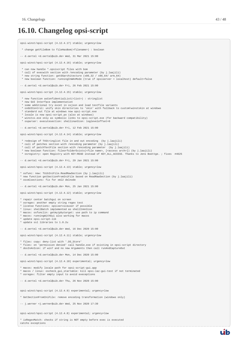catchs exceptions

# <span id="page-45-0"></span>**16.10. Changelog opsi-script**

| opsi-winst/opsi-script (4.12.4.17) stable; urgency=low                                                                                                                                                                                                                                                                                                                                                                                                                                                                                            |
|---------------------------------------------------------------------------------------------------------------------------------------------------------------------------------------------------------------------------------------------------------------------------------------------------------------------------------------------------------------------------------------------------------------------------------------------------------------------------------------------------------------------------------------------------|
| * change getFileBom to fileHasBom( <filename>) : boolean</filename>                                                                                                                                                                                                                                                                                                                                                                                                                                                                               |
| -- d.oertel <d.oertel@uib.de> Wed, 31 Mar 2021 15:00</d.oertel@uib.de>                                                                                                                                                                                                                                                                                                                                                                                                                                                                            |
| opsi-winst/opsi-script (4.12.4.16) stable; urgency=low                                                                                                                                                                                                                                                                                                                                                                                                                                                                                            |
| * can now handle *.opsiscript files with bom<br>* call of execwith section with /encoding parameter (by j.laajili)<br>* new string function: getOSarchitecture (x86_32 / x86_64/ arm_64)<br>* new boolean function: runningInWAnMode (true if opsiserver = localhost) default=false                                                                                                                                                                                                                                                               |
| -- d.oertel <d.oertel@uib.de> Fri, 26 Feb 2021 15:00</d.oertel@uib.de>                                                                                                                                                                                                                                                                                                                                                                                                                                                                            |
| opsi-winst/opsi-script (4.12.4.15) stable; urgency=low                                                                                                                                                                                                                                                                                                                                                                                                                                                                                            |
| * new function asConfidentialList( <list>) : stringlist<br/>* new GUI Interface implementation<br/>* some additional try excet in osjson and load testfile variants<br/>* osGUIControl: unify skin directories to 'skin' with fallback to custom\winstskin at windows<br/>* standard out file at windows now opsi-script.exe<br/>* locale is now opsi-script.po (also at windows)<br/>* winstxx.exe only as symbolic links to opsi-script.exe (for backward compatibility)<br/>* osparser: executesection: shellinanIcon: logleveloffset=0</list> |
| -- d.oertel <d.oertel@uib.de> Fri, 12 Feb 2021 15:00</d.oertel@uib.de>                                                                                                                                                                                                                                                                                                                                                                                                                                                                            |
| opsi-winst/opsi-script (4.12.4.14) stable; urgency=low                                                                                                                                                                                                                                                                                                                                                                                                                                                                                            |
| * redesign of TXStringlist file in and out encoding (by j.laajili)<br>* call of patches section with /encoding parameter (by j.laajili)<br>* call of patchTextFile section with /encoding parameter (by j.laajili)<br>* new boolean function: fileorfolderExists( <file name="">, [<access arch="">]) (by j.laajili)<br/>* osregistry: open Registry with KEY:READ instead of KEY_ALL_ACCESS. Thanks to Jens Boettge. ; fixes #4625</access></file>                                                                                               |
| -- d.oertel <d.oertel@uib.de> Fri, 29 Jan 2021 15:00</d.oertel@uib.de>                                                                                                                                                                                                                                                                                                                                                                                                                                                                            |
| opsi-winst/opsi-script (4.12.4.13) stable; urgency=low                                                                                                                                                                                                                                                                                                                                                                                                                                                                                            |
| * osfunc: new: TUibIniFile.ReadRawSection (by j.laajili)<br>* new function getSectionFromIniFile based on ReadRawSection (by j.laajili)<br>* osxmlsections: fix for xml2 delnode                                                                                                                                                                                                                                                                                                                                                                  |
| -- d.oertel <d.oertel@uib.de> Mon, 25 Jan 2021 15:00</d.oertel@uib.de>                                                                                                                                                                                                                                                                                                                                                                                                                                                                            |
| opsi-winst/opsi-script (4.12.4.12) stable; urgency=low                                                                                                                                                                                                                                                                                                                                                                                                                                                                                            |
| * repair center batchgui on screen<br>* osregex: another empty string regex test<br>* license functions: opsiserviceuser if possible<br>* linux: shellBatch implemented as shellInAnIcon<br>* macos: osfunclin: getmyipbytarget: use path to ip command<br>* macos: runningWithGui also working for macos<br>* update opsi-script-lib<br>* update ssl libraries to 1.0.2u                                                                                                                                                                         |
| -- d.oertel <d.oertel@uib.de> Wed, 16 Dec 2020 15:00</d.oertel@uib.de>                                                                                                                                                                                                                                                                                                                                                                                                                                                                            |
| opsi-winst/opsi-script (4.12.4.11) stable; urgency=low                                                                                                                                                                                                                                                                                                                                                                                                                                                                                            |
| * files: copy: deny-list with '.DS_Store'<br>* files: on 'permission denied' call handle.exe if existing in opsi-script directory<br>* dosInAnIcon: if win7 and no new Arguments then call runAndCaptureOut                                                                                                                                                                                                                                                                                                                                       |
| -- d.oertel <d.oertel@uib.de> Mon, 14 Dec 2020 15:00</d.oertel@uib.de>                                                                                                                                                                                                                                                                                                                                                                                                                                                                            |
| opsi-winst/opsi-script (4.12.4.10) experimental; urgency=low                                                                                                                                                                                                                                                                                                                                                                                                                                                                                      |
| * macos: modify locale path for opsi-script-gui.app<br>* macos / linux: oscheck_gui_startable: kill opsi-laz-gui-test if not terminated<br>* osregex: filter empty input to avoid execeptions                                                                                                                                                                                                                                                                                                                                                     |
|                                                                                                                                                                                                                                                                                                                                                                                                                                                                                                                                                   |
| -- d.oertel <d.oertel@uib.de> Thu, 26 Nov 2020 15:00</d.oertel@uib.de>                                                                                                                                                                                                                                                                                                                                                                                                                                                                            |
| opsi-winst/opsi-script (4.12.4.9) experimental; urgency=low                                                                                                                                                                                                                                                                                                                                                                                                                                                                                       |
| * GetSectionFromIniFile: remove encoding transformation (windows only)                                                                                                                                                                                                                                                                                                                                                                                                                                                                            |
| -- j.werner <j.werner@uib.de> Wed, 25 Nov 2020 17:39</j.werner@uib.de>                                                                                                                                                                                                                                                                                                                                                                                                                                                                            |
| opsi-winst/opsi-script (4.12.4.8) experimental; urgency=low                                                                                                                                                                                                                                                                                                                                                                                                                                                                                       |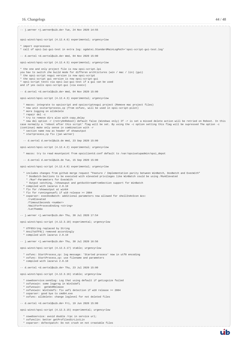

- \* oswebservice: avoid double /rpc in service url;
- \* osfunclin: better getProfilesDirListLin
- \* osparser: doTextpatch: Do not crash on not creatable files

uib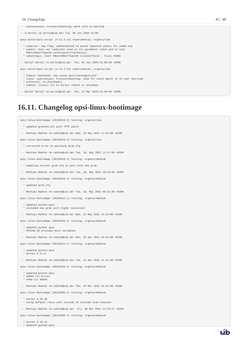#### 16. Changelogs 45 / 48

-- d.oertel <d.oertel@uib.de> Tue, 09 Jun 2020 15:00

\* osprocessess: ProcessIsRunning: more info in warning

opsi-winst/opsi-script (4.12.3.14) experimental; urgency=low

- \* osparser: new flag: cmd64checked to avoid repeated checks for cmd64.exe \* osmain: bool var runSilent used in cli parameter check and to call
- FBatchOberflaeche.setVisible(True/False);
- \* osbatchgui: start FBatchOberflaeche visible=false ; fixes #4485
- -- Detlef Oertel <d.oertel@uib.de> Thu, 04 Jun 2020:15:00:00 +0200

opsi-winst/opsi-script (4.12.3.13) experimental; urgency=low

- \* osmain: bootmode: now using opsiclientagentconf
- \* linux: osprocesses: ProcessIsRunning: look for exact match in 15 char shortcmd
- \* osfunclin: os\_shutdown()
- \* osmain: (linux) try to direct reboot or shutdown

-- Detlef Oertel <d.oertel@uib.de> thu, 12 Mar 2020:15:00:00 +0200

## <span id="page-47-0"></span>**16.11. Changelog opsi-linux-bootimage**

opsi-linux-bootimage (20210519-1) testing; urgency=low

- \* updated grubx64.efi with TFTP patch
- -- Mathias Radtke <m.radtke@uib.de> Wed, 19 May 2021 11:25:00 +0200

opsi-linux-bootimage (20210518-3) testing; urgency=low

- \* corrected error on patching grub.cfg
- -- Mathias Radtke <m.radtke@uib.de> Tue, 18, May 2021 12:17:00 +0200

opsi-linux-bootimage (20210518-2) testing; urgency=medium

- \* updating current grub.cfg to work with new grub
- -- Mathias Radtke <m.radtke@uib.de> Tue, 18, May 2021 10:19:00 +0200

opsi-linux-bootimage (20210518-1) testing; urgency=medium

- \* updated grub.cfg
- -- Mathias Radtke <m.radtke@uib.de> Tue, 18, May 2021 08:22:00 +0200

opsi-linux-bootimage (20210512-1) testing; urgency=medium

- \* updated python-opsi
- \* included new grub with higher blocksize
- -- Mathias Radtke <m.radtke@uib.de> Wed, 12 May 2021 14:15:00 +0100

opsi-linux-bootimage (20210426-1) testing; urgency=medium

- \* updated python opsi \* PATCHA\_IN provides more variables
- -- Mathias Radtke <m.radtke@uib.de> Mon, 26 Apr 2021 15:15:00 +0100

opsi-linux-bootimage (20210413-1) testing; urgency=medium

 \* updated python-opsi \* kernel 5.11.8

-- Mathias Radtke <m.radtke@uib.de> Tue, 13 Apr 2021 11:41:00 +0200

opsi-linux-bootimage (20210326-1) testing; urgency=medium

- \* updated python-opsi \* added rtc driver
- \* nvme-cli added
- -- Mathias Radtke <m.radtke@uib.de> Thu, 25 Mar 2021 12:21:00 +0100
- opsi-linux-bootimage (20210305-1) testing; urgency=medium
- \* kernel 5.10.20 \* using default resov.conf instead of systemd stub resolver
- -- Mathias Radtke <m.radtke@uib.de> Fri, 05 Mar 2021 14:23:27 +0100

opsi-linux-bootimage (20210209-1) testing; urgency=medium

\* kernel 5.10.14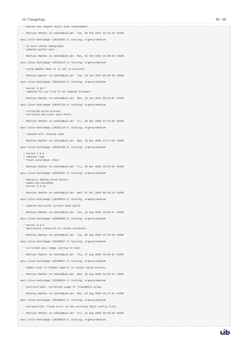\* patcha now support multi line replacement -- Mathias Radtke <m.radtke@uib.de> Tue, 09 Feb 2021 10:16:23 +0100 opsi-linux-bootimage (20210201-1) testing; urgency=medium \* no more sfdisk downgrades \* updated python-opsi -- Mathias Radtke <m.radtke@uib.de> Mon, 01 Feb 2021 10:30:45 +0100 opsi-linux-bootimage (20210119-1) testing; urgency=medium \* using WebDav when it is set in protocol -- Mathias Radtke <m.radtke@uib.de> Tue, 19 Jan 2021 09:30:40 +0100 opsi-linux-bootimage (20210118-1) testing; urgency=medium \* kernel 5.10.7 \* removed ntl\_nic from to be removed firmware -- Mathias Radtke <m.radtke@uib.de> Mon, 18 Jan 2021 09:52:07 +0100 opsi-linux-bootimage (20201120-1) testing; urgency=medium \* corrected build process \* corrected Microsoft Dock Patch -- Mathias Radtke <m.radtke@uib.de> Fri, 20 Nov 2020 14:26:35 +0100 opsi-linux-bootimage (20201118-1) testing; urgency=medium \* removed wifi related code -- Mathias Radtke <m.radtke@uib.de> Wed, 18 Nov 2020 14:27:58 +0100 opsi-linux-bootimage (20201106-1) testing; urgency=medium \* kernel 5.9.6 \* removed rngd \* fixed secureboot check -- Mathias Radtke <m.radtke@uib.de> Fri, 06 Nov 2020 10:35:06 +0100 opsi-linux-bootimage (20201007-1) testing; urgency=medium \* manually adding shred binary \* added pycryptodome \* kernel 5.8.13 -- Mathias Radtke <m.radtke@uib.de> Wed, 07 Oct 2020 08:34:14 +0200 opsi-linux-bootimage (20200915-1) testing; urgency=medium \* updated Microsoft surface dock patch -- Mathias Radtke <m.radtke@uib.de> Tue, 15 Sep 2020 10:05:27 +0200 opsi-linux-bootimage (20200908-1) testing; urgency=medium \* kernel 5.8.5 \* deativated lidswitch on closed notebooks -- Mathias Radtke <m.radtke@uib.de> Tue, 08 Sep 2020 15:34:30 +0200 opsi-linux-bootimage (20200827-2) testing; urgency=medium \* corrected opsi image startup on boot -- Mathias Radtke <m.radtke@uib.de> Thu, 27 Aug 2020 16:40:32 +0200 opsi-linux-bootimage (20200827-1) testing; urgency=medium \* added crypt to hidden imports in binary build process -- Mathias Radtke <m.radtke@uib.de> Wed, 26 Aug 2020 14:58:12 +0200 opsi-linux-bootimage (20200824-1) testing; urgency=medium \* postinst/spec: corrected usage of fileadmins group -- Mathias Radtke <m.radtke@uib.de> Mon, 24 Aug 2020 10:27:41 +0200 opsi-linux-bootimage (20200821-1) testing; urgency=medium \* pre/postinst: fixed error on non existing 32bit config files  $-$  Mathias Radtke  $\epsilon$ m radtke@uib.de> Fri, 21 Aug 2020 10:49:39 +0200 opsi-linux-bootimage (20200819-1) testing; urgency=medium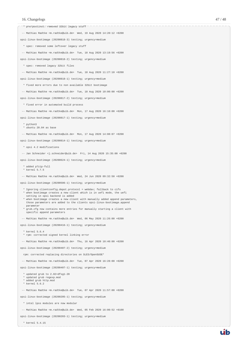-- Mathias Radtke <m.radtke@uib.de> Wed, 19 Aug 2020 14:20:12 +0200

opsi-linux-bootimage (20200818-3) testing; urgency=medium

\* spec: removed some leftover legacy stuff

\* pre/postinst: removed 32bit legacy stuff

-- Mathias Radtke <m.radtke@uib.de> Tue, 18 Aug 2020 13:19:56 +0200

opsi-linux-bootimage (20200818-2) testing; urgency=medium

\* spec: removed legacy 32bit files

-- Mathias Radtke <m.radtke@uib.de> Tue, 18 Aug 2020 11:27:10 +0200

opsi-linux-bootimage (20200818-1) testing; urgency=medium

\* fixed more errors due to non available 32bit bootimage

-- Mathias Radtke <m.radtke@uib.de> Tue, 18 Aug 2020 10:00:00 +0200

opsi-linux-bootimage (20200817-2) testing; urgency=medium

- \* fixed error in automated build process
- -- Mathias Radtke <m.radtke@uib.de> Mon, 17 Aug 2020 16:10:00 +0200

opsi-linux-bootimage (20200817-1) testing; urgency=medium

- 
- \* python3 \* ubuntu 20.04 as base
- -- Mathias Radtke <m.radtke@uib.de> Mon, 17 Aug 2020 14:08:07 +0200

opsi-linux-bootimage (20200814-1) testing; urgency=medium

\* opsi 4.2 modifications

-- Jan Schneider <j.schneider@uib.de> Fri, 14 Aug 2020 15:35:00 +0200

opsi-linux-bootimage (20200624-1) testing; urgency=medium

- \* added p7zip-full
- \* kernel 5.7.5
- -- Mathias Radtke <m.radtke@uib.de> Wed, 24 Jun 2020 09:32:50 +0200

opsi-linux-bootimage (20200506-1) testing; urgency=medium

- \* Ignoring clientconfig.depot.protocol = webdav; fallback to cifs \* when bootimage creates a new client which is in uefi mode, the uefi setting in opsi backend is added
- \* when bootimage creates a new client with manually added append parameters, those parameters are added to the clients opsi-linux-bootimage.append parameter
- \* grub.cfg now contains more entries for manually starting a client with specific append parameters

 $-$  Mathias Radtke  $\epsilon$ m radtke@uib.de> Wed, 06 May 2020 11:26:00 +0200

- opsi-linux-bootimage (20200416-1) testing; urgency=medium
	- \* kernel 5.6.4
	- \* rpm: corrected signed kernel linking error
- -- Mathias Radtke <m.radtke@uib.de> Thu, 16 Apr 2020 10:40:00 +0200

opsi-linux-bootimage (20200407-2) testing; urgency=medium

- rpm: corrected replacing directories on SLES/OpenSUSE\*
- -- Mathias Radtke <m.radtke@uib.de> Tue, 07 Apr 2020 16:28:00 +0200

opsi-linux-bootimage (20200407-1) testing; urgency=medium

- \* updated grub to 2.02+dfsg1-20
- \* updated grub regexp.mod
- \* added grub http.mod \* kernel 5.6.2
- -- Mathias Radtke <m.radtke@uib.de> Tue, 07 Apr 2020 11:57:00 +0200

opsi-linux-bootimage (20200205-1) testing; urgency=medium

\* intel lpss modules are now modular

-- Mathias Radtke <m.radtke@uib.de> Wed, 05 Feb 2020 16:00:52 +0100

opsi-linux-bootimage (20200203-1) testing; urgency=medium

\* kernel 5.4.15